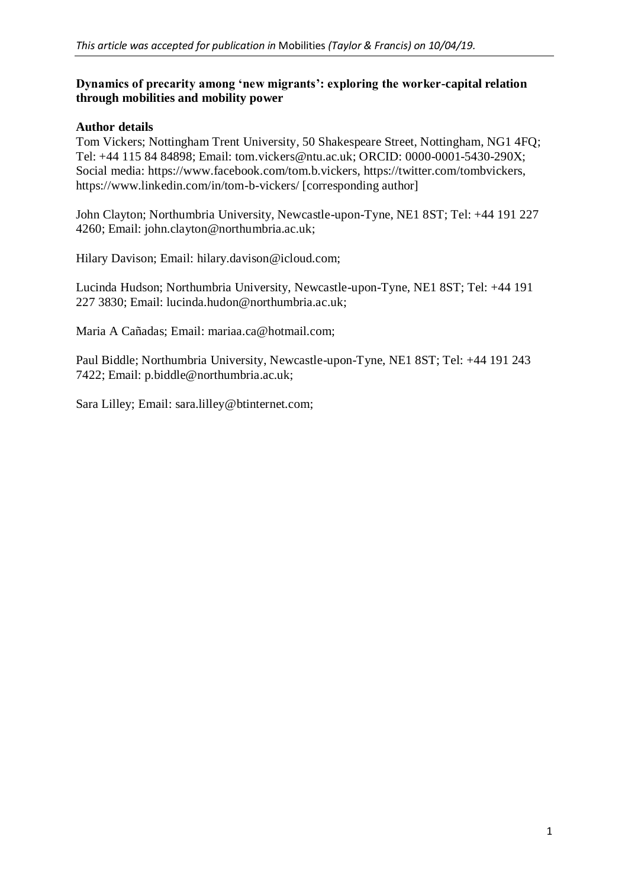## **Dynamics of precarity among 'new migrants': exploring the worker-capital relation through mobilities and mobility power**

## **Author details**

Tom Vickers; Nottingham Trent University, 50 Shakespeare Street, Nottingham, NG1 4FQ; Tel: +44 115 84 84898; Email: tom.vickers@ntu.ac.uk; ORCID: 0000-0001-5430-290X; Social media: https://www.facebook.com/tom.b.vickers, https://twitter.com/tombvickers, https://www.linkedin.com/in/tom-b-vickers/ [corresponding author]

John Clayton; Northumbria University, Newcastle-upon-Tyne, NE1 8ST; Tel: +44 191 227 4260; Email: john.clayton@northumbria.ac.uk;

Hilary Davison; Email: hilary.davison@icloud.com;

Lucinda Hudson; Northumbria University, Newcastle-upon-Tyne, NE1 8ST; Tel: +44 191 227 3830; Email: lucinda.hudon@northumbria.ac.uk;

Maria A Cañadas; Email: mariaa.ca@hotmail.com;

Paul Biddle; Northumbria University, Newcastle-upon-Tyne, NE1 8ST; Tel: +44 191 243 7422; Email: p.biddle@northumbria.ac.uk;

Sara Lilley; Email: sara.lilley@btinternet.com;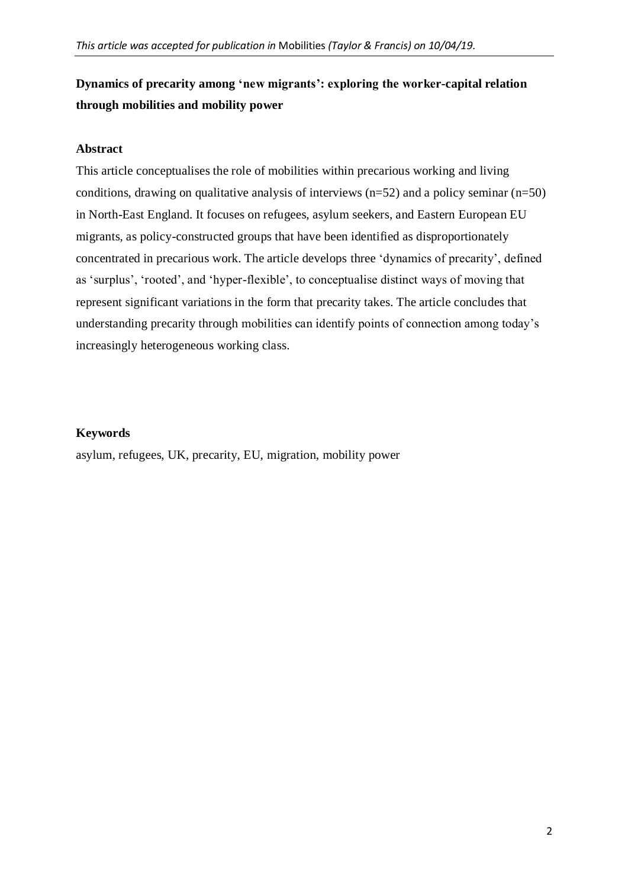# **Dynamics of precarity among 'new migrants': exploring the worker-capital relation through mobilities and mobility power**

### **Abstract**

This article conceptualises the role of mobilities within precarious working and living conditions, drawing on qualitative analysis of interviews  $(n=52)$  and a policy seminar  $(n=50)$ in North-East England. It focuses on refugees, asylum seekers, and Eastern European EU migrants, as policy-constructed groups that have been identified as disproportionately concentrated in precarious work. The article develops three 'dynamics of precarity', defined as 'surplus', 'rooted', and 'hyper-flexible', to conceptualise distinct ways of moving that represent significant variations in the form that precarity takes. The article concludes that understanding precarity through mobilities can identify points of connection among today's increasingly heterogeneous working class.

### **Keywords**

asylum, refugees, UK, precarity, EU, migration, mobility power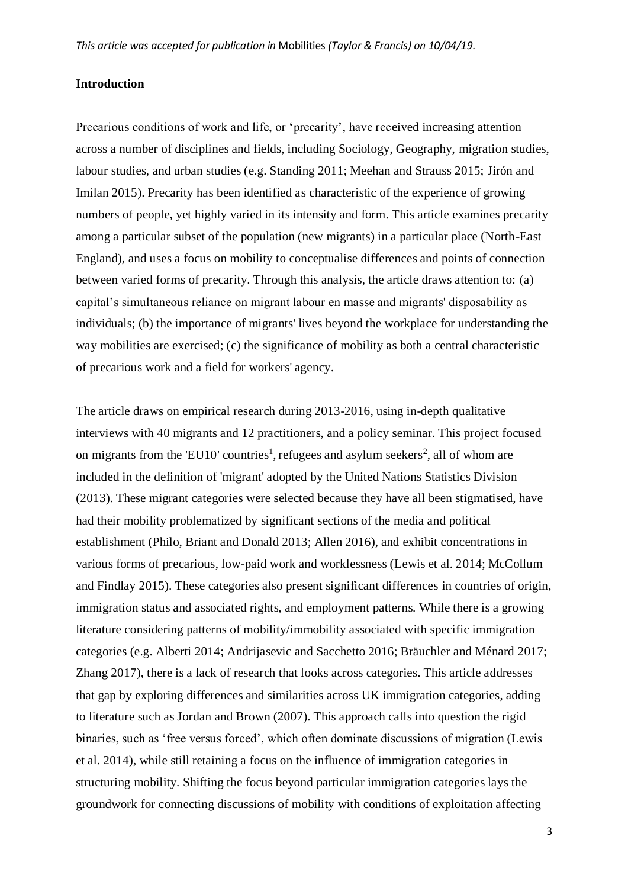#### **Introduction**

Precarious conditions of work and life, or 'precarity', have received increasing attention across a number of disciplines and fields, including Sociology, Geography, migration studies, labour studies, and urban studies (e.g. Standing 2011; Meehan and Strauss 2015; Jirón and Imilan 2015). Precarity has been identified as characteristic of the experience of growing numbers of people, yet highly varied in its intensity and form. This article examines precarity among a particular subset of the population (new migrants) in a particular place (North-East England), and uses a focus on mobility to conceptualise differences and points of connection between varied forms of precarity. Through this analysis, the article draws attention to: (a) capital's simultaneous reliance on migrant labour en masse and migrants' disposability as individuals; (b) the importance of migrants' lives beyond the workplace for understanding the way mobilities are exercised; (c) the significance of mobility as both a central characteristic of precarious work and a field for workers' agency.

The article draws on empirical research during 2013-2016, using in-depth qualitative interviews with 40 migrants and 12 practitioners, and a policy seminar. This project focused on migrants from the 'EU10' countries<sup>1</sup>, refugees and asylum seekers<sup>2</sup>, all of whom are included in the definition of 'migrant' adopted by the United Nations Statistics Division (2013). These migrant categories were selected because they have all been stigmatised, have had their mobility problematized by significant sections of the media and political establishment (Philo, Briant and Donald 2013; Allen 2016), and exhibit concentrations in various forms of precarious, low-paid work and worklessness (Lewis et al. 2014; McCollum and Findlay 2015). These categories also present significant differences in countries of origin, immigration status and associated rights, and employment patterns. While there is a growing literature considering patterns of mobility/immobility associated with specific immigration categories (e.g. Alberti 2014; Andrijasevic and Sacchetto 2016; Bräuchler and Ménard 2017; Zhang 2017), there is a lack of research that looks across categories. This article addresses that gap by exploring differences and similarities across UK immigration categories, adding to literature such as Jordan and Brown (2007). This approach calls into question the rigid binaries, such as 'free versus forced', which often dominate discussions of migration (Lewis et al. 2014), while still retaining a focus on the influence of immigration categories in structuring mobility. Shifting the focus beyond particular immigration categories lays the groundwork for connecting discussions of mobility with conditions of exploitation affecting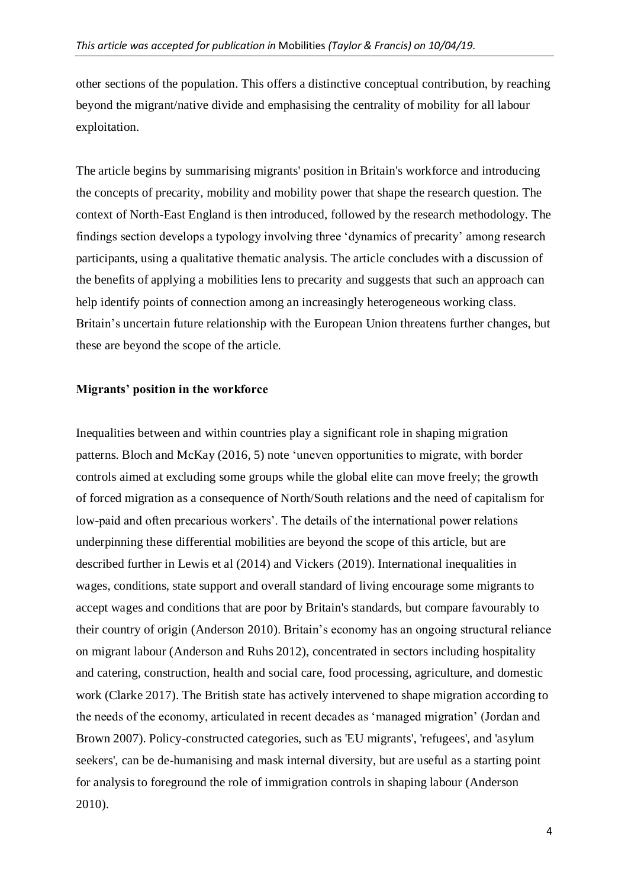other sections of the population. This offers a distinctive conceptual contribution, by reaching beyond the migrant/native divide and emphasising the centrality of mobility for all labour exploitation.

The article begins by summarising migrants' position in Britain's workforce and introducing the concepts of precarity, mobility and mobility power that shape the research question. The context of North-East England is then introduced, followed by the research methodology. The findings section develops a typology involving three 'dynamics of precarity' among research participants, using a qualitative thematic analysis. The article concludes with a discussion of the benefits of applying a mobilities lens to precarity and suggests that such an approach can help identify points of connection among an increasingly heterogeneous working class. Britain's uncertain future relationship with the European Union threatens further changes, but these are beyond the scope of the article.

#### **Migrants' position in the workforce**

Inequalities between and within countries play a significant role in shaping migration patterns. Bloch and McKay (2016, 5) note 'uneven opportunities to migrate, with border controls aimed at excluding some groups while the global elite can move freely; the growth of forced migration as a consequence of North/South relations and the need of capitalism for low-paid and often precarious workers'. The details of the international power relations underpinning these differential mobilities are beyond the scope of this article, but are described further in Lewis et al (2014) and Vickers (2019). International inequalities in wages, conditions, state support and overall standard of living encourage some migrants to accept wages and conditions that are poor by Britain's standards, but compare favourably to their country of origin (Anderson 2010). Britain's economy has an ongoing structural reliance on migrant labour (Anderson and Ruhs 2012), concentrated in sectors including hospitality and catering, construction, health and social care, food processing, agriculture, and domestic work (Clarke 2017). The British state has actively intervened to shape migration according to the needs of the economy, articulated in recent decades as 'managed migration' (Jordan and Brown 2007). Policy-constructed categories, such as 'EU migrants', 'refugees', and 'asylum seekers', can be de-humanising and mask internal diversity, but are useful as a starting point for analysis to foreground the role of immigration controls in shaping labour (Anderson 2010).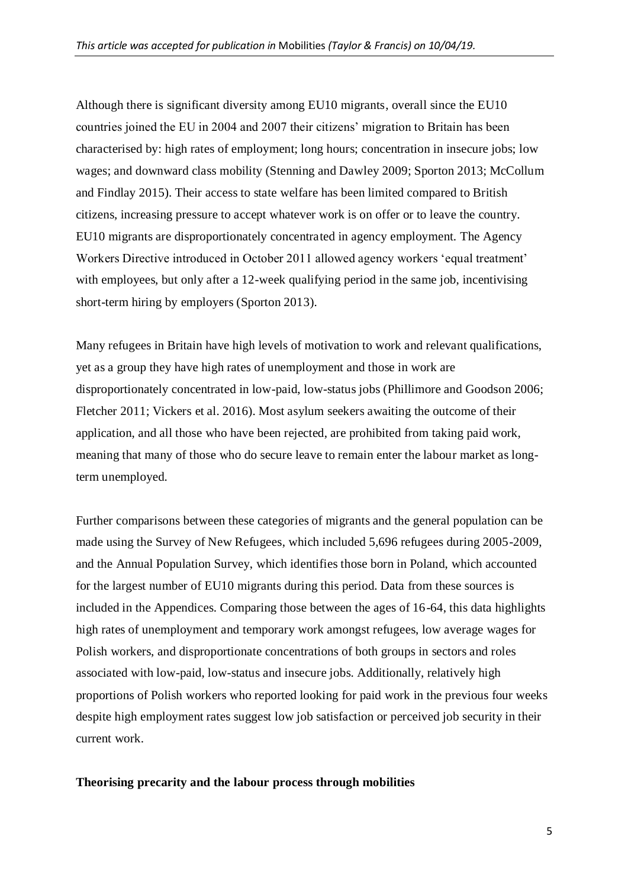Although there is significant diversity among EU10 migrants, overall since the EU10 countries joined the EU in 2004 and 2007 their citizens' migration to Britain has been characterised by: high rates of employment; long hours; concentration in insecure jobs; low wages; and downward class mobility (Stenning and Dawley 2009; Sporton 2013; McCollum and Findlay 2015). Their access to state welfare has been limited compared to British citizens, increasing pressure to accept whatever work is on offer or to leave the country. EU10 migrants are disproportionately concentrated in agency employment. The Agency Workers Directive introduced in October 2011 allowed agency workers 'equal treatment' with employees, but only after a 12-week qualifying period in the same job, incentivising short-term hiring by employers (Sporton 2013).

Many refugees in Britain have high levels of motivation to work and relevant qualifications, yet as a group they have high rates of unemployment and those in work are disproportionately concentrated in low-paid, low-status jobs (Phillimore and Goodson 2006; Fletcher 2011; Vickers et al. 2016). Most asylum seekers awaiting the outcome of their application, and all those who have been rejected, are prohibited from taking paid work, meaning that many of those who do secure leave to remain enter the labour market as longterm unemployed.

Further comparisons between these categories of migrants and the general population can be made using the Survey of New Refugees, which included 5,696 refugees during 2005-2009, and the Annual Population Survey, which identifies those born in Poland, which accounted for the largest number of EU10 migrants during this period. Data from these sources is included in the Appendices. Comparing those between the ages of 16-64, this data highlights high rates of unemployment and temporary work amongst refugees, low average wages for Polish workers, and disproportionate concentrations of both groups in sectors and roles associated with low-paid, low-status and insecure jobs. Additionally, relatively high proportions of Polish workers who reported looking for paid work in the previous four weeks despite high employment rates suggest low job satisfaction or perceived job security in their current work.

### **Theorising precarity and the labour process through mobilities**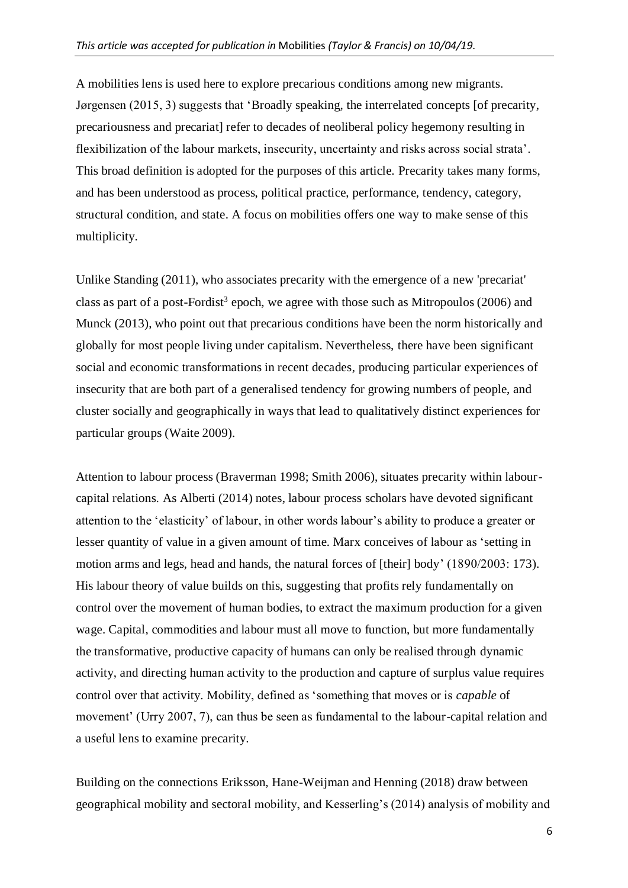A mobilities lens is used here to explore precarious conditions among new migrants. Jørgensen (2015, 3) suggests that 'Broadly speaking, the interrelated concepts [of precarity, precariousness and precariat] refer to decades of neoliberal policy hegemony resulting in flexibilization of the labour markets, insecurity, uncertainty and risks across social strata'. This broad definition is adopted for the purposes of this article. Precarity takes many forms, and has been understood as process, political practice, performance, tendency, category, structural condition, and state. A focus on mobilities offers one way to make sense of this multiplicity.

Unlike Standing (2011), who associates precarity with the emergence of a new 'precariat' class as part of a post-Fordist<sup>3</sup> epoch, we agree with those such as Mitropoulos (2006) and Munck (2013), who point out that precarious conditions have been the norm historically and globally for most people living under capitalism. Nevertheless, there have been significant social and economic transformations in recent decades, producing particular experiences of insecurity that are both part of a generalised tendency for growing numbers of people, and cluster socially and geographically in ways that lead to qualitatively distinct experiences for particular groups (Waite 2009).

Attention to labour process (Braverman 1998; Smith 2006), situates precarity within labourcapital relations. As Alberti (2014) notes, labour process scholars have devoted significant attention to the 'elasticity' of labour, in other words labour's ability to produce a greater or lesser quantity of value in a given amount of time. Marx conceives of labour as 'setting in motion arms and legs, head and hands, the natural forces of [their] body' (1890/2003: 173). His labour theory of value builds on this, suggesting that profits rely fundamentally on control over the movement of human bodies, to extract the maximum production for a given wage. Capital, commodities and labour must all move to function, but more fundamentally the transformative, productive capacity of humans can only be realised through dynamic activity, and directing human activity to the production and capture of surplus value requires control over that activity. Mobility, defined as 'something that moves or is *capable* of movement' (Urry 2007, 7), can thus be seen as fundamental to the labour-capital relation and a useful lens to examine precarity.

Building on the connections Eriksson, Hane-Weijman and Henning (2018) draw between geographical mobility and sectoral mobility, and Kesserling's (2014) analysis of mobility and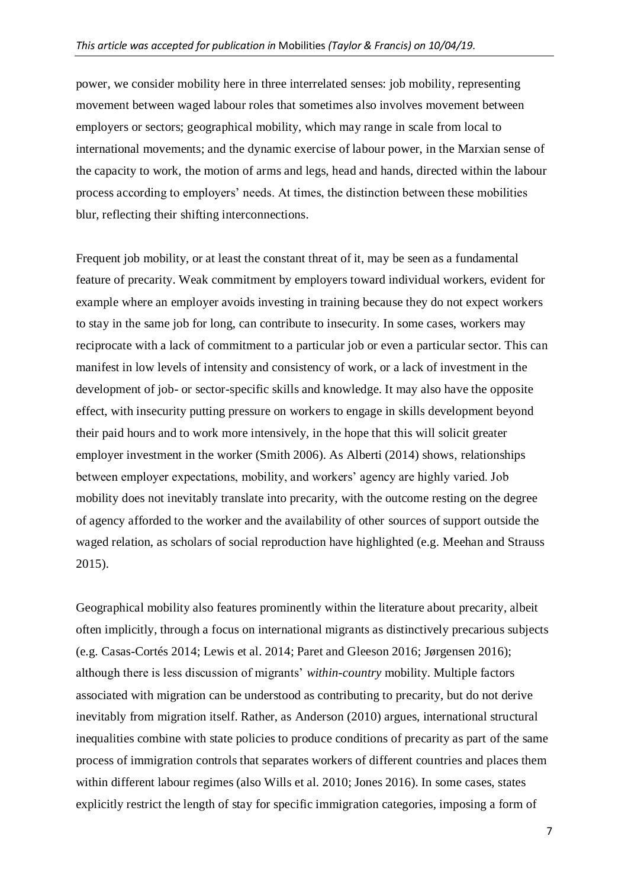power, we consider mobility here in three interrelated senses: job mobility, representing movement between waged labour roles that sometimes also involves movement between employers or sectors; geographical mobility, which may range in scale from local to international movements; and the dynamic exercise of labour power, in the Marxian sense of the capacity to work, the motion of arms and legs, head and hands, directed within the labour process according to employers' needs. At times, the distinction between these mobilities blur, reflecting their shifting interconnections.

Frequent job mobility, or at least the constant threat of it, may be seen as a fundamental feature of precarity. Weak commitment by employers toward individual workers, evident for example where an employer avoids investing in training because they do not expect workers to stay in the same job for long, can contribute to insecurity. In some cases, workers may reciprocate with a lack of commitment to a particular job or even a particular sector. This can manifest in low levels of intensity and consistency of work, or a lack of investment in the development of job- or sector-specific skills and knowledge. It may also have the opposite effect, with insecurity putting pressure on workers to engage in skills development beyond their paid hours and to work more intensively, in the hope that this will solicit greater employer investment in the worker (Smith 2006). As Alberti (2014) shows, relationships between employer expectations, mobility, and workers' agency are highly varied. Job mobility does not inevitably translate into precarity, with the outcome resting on the degree of agency afforded to the worker and the availability of other sources of support outside the waged relation, as scholars of social reproduction have highlighted (e.g. Meehan and Strauss 2015).

Geographical mobility also features prominently within the literature about precarity, albeit often implicitly, through a focus on international migrants as distinctively precarious subjects (e.g. Casas-Cortés 2014; Lewis et al. 2014; Paret and Gleeson 2016; Jørgensen 2016); although there is less discussion of migrants' *within-country* mobility. Multiple factors associated with migration can be understood as contributing to precarity, but do not derive inevitably from migration itself. Rather, as Anderson (2010) argues, international structural inequalities combine with state policies to produce conditions of precarity as part of the same process of immigration controls that separates workers of different countries and places them within different labour regimes (also Wills et al. 2010; Jones 2016). In some cases, states explicitly restrict the length of stay for specific immigration categories, imposing a form of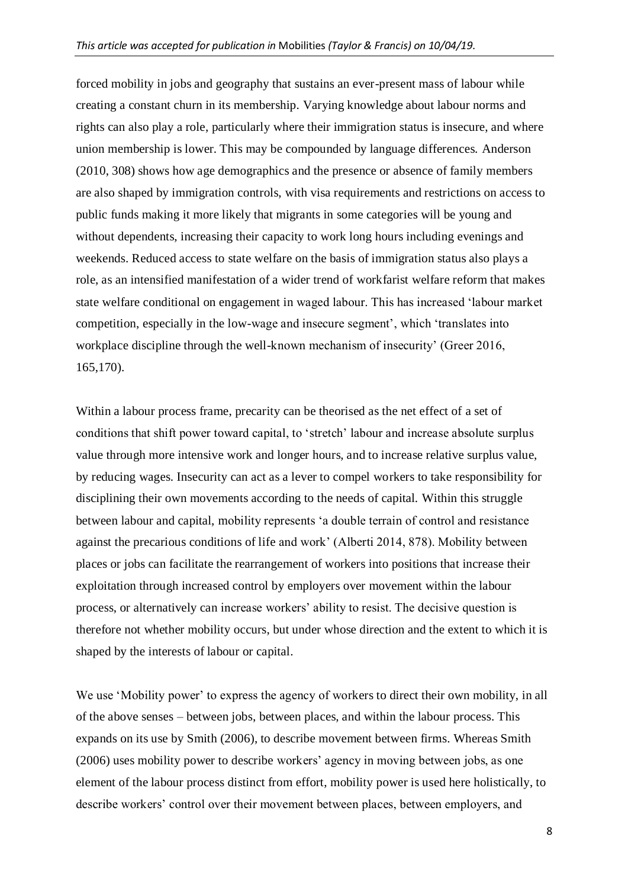forced mobility in jobs and geography that sustains an ever-present mass of labour while creating a constant churn in its membership. Varying knowledge about labour norms and rights can also play a role, particularly where their immigration status is insecure, and where union membership is lower. This may be compounded by language differences. Anderson (2010, 308) shows how age demographics and the presence or absence of family members are also shaped by immigration controls, with visa requirements and restrictions on access to public funds making it more likely that migrants in some categories will be young and without dependents, increasing their capacity to work long hours including evenings and weekends. Reduced access to state welfare on the basis of immigration status also plays a role, as an intensified manifestation of a wider trend of workfarist welfare reform that makes state welfare conditional on engagement in waged labour. This has increased 'labour market competition, especially in the low-wage and insecure segment', which 'translates into workplace discipline through the well-known mechanism of insecurity' (Greer 2016, 165,170).

Within a labour process frame, precarity can be theorised as the net effect of a set of conditions that shift power toward capital, to 'stretch' labour and increase absolute surplus value through more intensive work and longer hours, and to increase relative surplus value, by reducing wages. Insecurity can act as a lever to compel workers to take responsibility for disciplining their own movements according to the needs of capital. Within this struggle between labour and capital, mobility represents 'a double terrain of control and resistance against the precarious conditions of life and work' (Alberti 2014, 878). Mobility between places or jobs can facilitate the rearrangement of workers into positions that increase their exploitation through increased control by employers over movement within the labour process, or alternatively can increase workers' ability to resist. The decisive question is therefore not whether mobility occurs, but under whose direction and the extent to which it is shaped by the interests of labour or capital.

We use 'Mobility power' to express the agency of workers to direct their own mobility, in all of the above senses – between jobs, between places, and within the labour process. This expands on its use by Smith (2006), to describe movement between firms. Whereas Smith (2006) uses mobility power to describe workers' agency in moving between jobs, as one element of the labour process distinct from effort, mobility power is used here holistically, to describe workers' control over their movement between places, between employers, and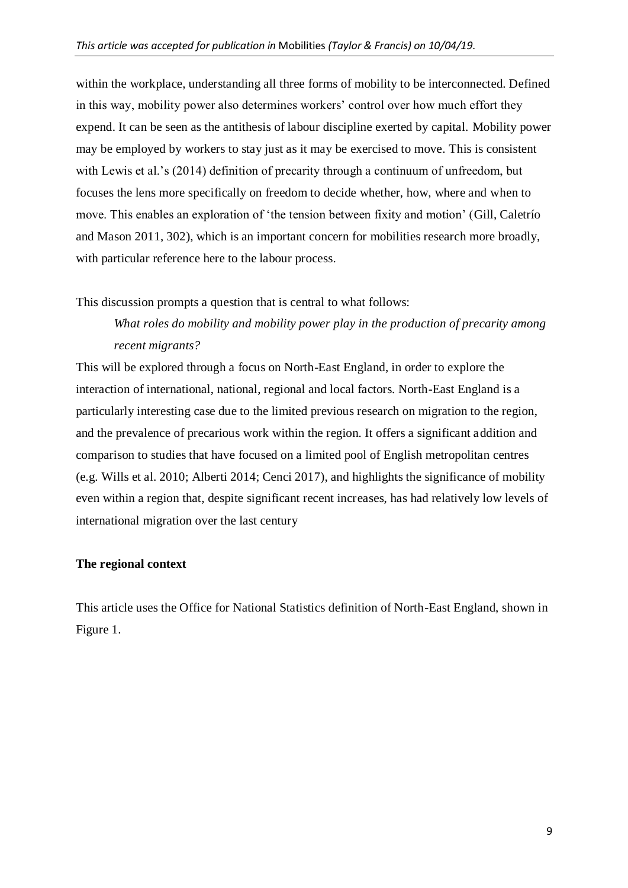within the workplace, understanding all three forms of mobility to be interconnected. Defined in this way, mobility power also determines workers' control over how much effort they expend. It can be seen as the antithesis of labour discipline exerted by capital. Mobility power may be employed by workers to stay just as it may be exercised to move. This is consistent with Lewis et al.'s (2014) definition of precarity through a continuum of unfreedom, but focuses the lens more specifically on freedom to decide whether, how, where and when to move. This enables an exploration of 'the tension between fixity and motion' (Gill, Caletrío and Mason 2011, 302), which is an important concern for mobilities research more broadly, with particular reference here to the labour process.

This discussion prompts a question that is central to what follows:

# *What roles do mobility and mobility power play in the production of precarity among recent migrants?*

This will be explored through a focus on North-East England, in order to explore the interaction of international, national, regional and local factors. North-East England is a particularly interesting case due to the limited previous research on migration to the region, and the prevalence of precarious work within the region. It offers a significant addition and comparison to studies that have focused on a limited pool of English metropolitan centres (e.g. Wills et al. 2010; Alberti 2014; Cenci 2017), and highlights the significance of mobility even within a region that, despite significant recent increases, has had relatively low levels of international migration over the last century

### **The regional context**

This article uses the Office for National Statistics definition of North-East England, shown in Figure 1.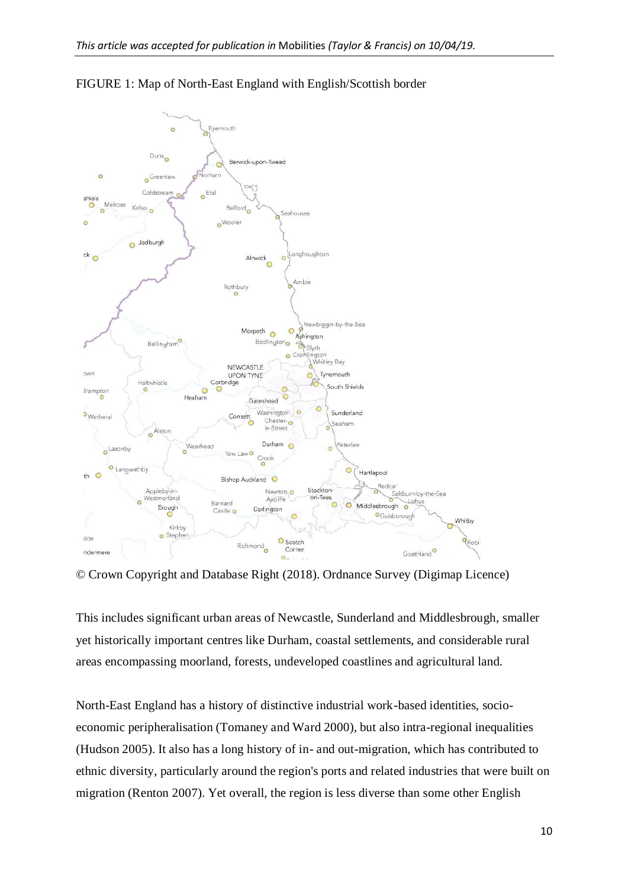

FIGURE 1: Map of North-East England with English/Scottish border

© Crown Copyright and Database Right (2018). Ordnance Survey (Digimap Licence)

This includes significant urban areas of Newcastle, Sunderland and Middlesbrough, smaller yet historically important centres like Durham, coastal settlements, and considerable rural areas encompassing moorland, forests, undeveloped coastlines and agricultural land.

North-East England has a history of distinctive industrial work-based identities, socioeconomic peripheralisation (Tomaney and Ward 2000), but also intra-regional inequalities (Hudson 2005). It also has a long history of in- and out-migration, which has contributed to ethnic diversity, particularly around the region's ports and related industries that were built on migration (Renton 2007). Yet overall, the region is less diverse than some other English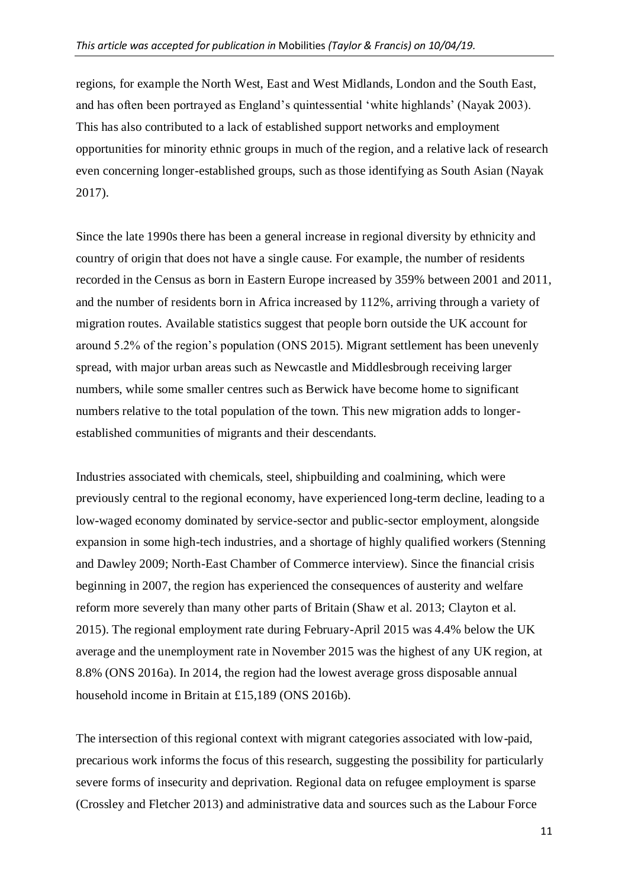regions, for example the North West, East and West Midlands, London and the South East, and has often been portrayed as England's quintessential 'white highlands' (Nayak 2003). This has also contributed to a lack of established support networks and employment opportunities for minority ethnic groups in much of the region, and a relative lack of research even concerning longer-established groups, such as those identifying as South Asian (Nayak 2017).

Since the late 1990s there has been a general increase in regional diversity by ethnicity and country of origin that does not have a single cause. For example, the number of residents recorded in the Census as born in Eastern Europe increased by 359% between 2001 and 2011, and the number of residents born in Africa increased by 112%, arriving through a variety of migration routes. Available statistics suggest that people born outside the UK account for around 5.2% of the region's population (ONS 2015). Migrant settlement has been unevenly spread, with major urban areas such as Newcastle and Middlesbrough receiving larger numbers, while some smaller centres such as Berwick have become home to significant numbers relative to the total population of the town. This new migration adds to longerestablished communities of migrants and their descendants.

Industries associated with chemicals, steel, shipbuilding and coalmining, which were previously central to the regional economy, have experienced long-term decline, leading to a low-waged economy dominated by service-sector and public-sector employment, alongside expansion in some high-tech industries, and a shortage of highly qualified workers (Stenning and Dawley 2009; North-East Chamber of Commerce interview). Since the financial crisis beginning in 2007, the region has experienced the consequences of austerity and welfare reform more severely than many other parts of Britain (Shaw et al. 2013; Clayton et al. 2015). The regional employment rate during February-April 2015 was 4.4% below the UK average and the unemployment rate in November 2015 was the highest of any UK region, at 8.8% (ONS 2016a). In 2014, the region had the lowest average gross disposable annual household income in Britain at £15,189 (ONS 2016b).

The intersection of this regional context with migrant categories associated with low-paid, precarious work informs the focus of this research, suggesting the possibility for particularly severe forms of insecurity and deprivation. Regional data on refugee employment is sparse (Crossley and Fletcher 2013) and administrative data and sources such as the Labour Force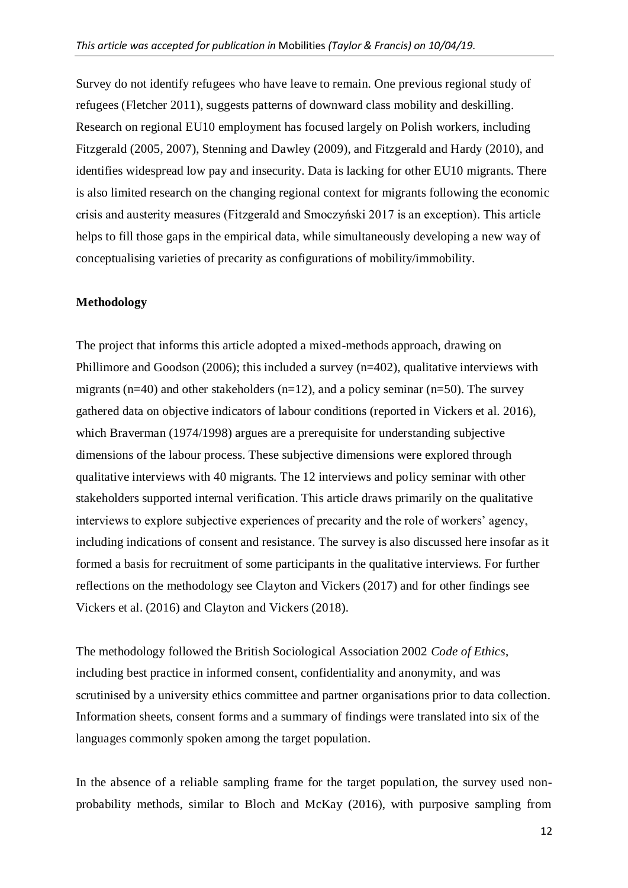Survey do not identify refugees who have leave to remain. One previous regional study of refugees (Fletcher 2011), suggests patterns of downward class mobility and deskilling. Research on regional EU10 employment has focused largely on Polish workers, including Fitzgerald (2005, 2007), Stenning and Dawley (2009), and Fitzgerald and Hardy (2010), and identifies widespread low pay and insecurity. Data is lacking for other EU10 migrants. There is also limited research on the changing regional context for migrants following the economic crisis and austerity measures (Fitzgerald and Smoczyński 2017 is an exception). This article helps to fill those gaps in the empirical data, while simultaneously developing a new way of conceptualising varieties of precarity as configurations of mobility/immobility.

#### **Methodology**

The project that informs this article adopted a mixed-methods approach, drawing on Phillimore and Goodson (2006); this included a survey (n=402), qualitative interviews with migrants ( $n=40$ ) and other stakeholders ( $n=12$ ), and a policy seminar ( $n=50$ ). The survey gathered data on objective indicators of labour conditions (reported in Vickers et al. 2016), which Braverman (1974/1998) argues are a prerequisite for understanding subjective dimensions of the labour process. These subjective dimensions were explored through qualitative interviews with 40 migrants. The 12 interviews and policy seminar with other stakeholders supported internal verification. This article draws primarily on the qualitative interviews to explore subjective experiences of precarity and the role of workers' agency, including indications of consent and resistance. The survey is also discussed here insofar as it formed a basis for recruitment of some participants in the qualitative interviews. For further reflections on the methodology see Clayton and Vickers (2017) and for other findings see Vickers et al. (2016) and Clayton and Vickers (2018).

The methodology followed the British Sociological Association 2002 *Code of Ethics*, including best practice in informed consent, confidentiality and anonymity, and was scrutinised by a university ethics committee and partner organisations prior to data collection. Information sheets, consent forms and a summary of findings were translated into six of the languages commonly spoken among the target population.

In the absence of a reliable sampling frame for the target population, the survey used nonprobability methods, similar to Bloch and McKay (2016), with purposive sampling from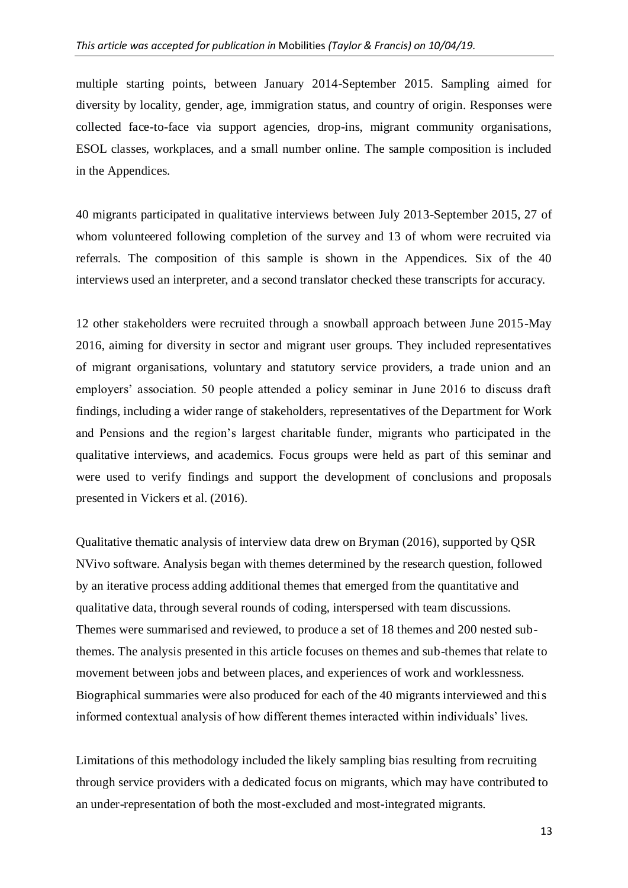multiple starting points, between January 2014-September 2015. Sampling aimed for diversity by locality, gender, age, immigration status, and country of origin. Responses were collected face-to-face via support agencies, drop-ins, migrant community organisations, ESOL classes, workplaces, and a small number online. The sample composition is included in the Appendices.

40 migrants participated in qualitative interviews between July 2013-September 2015, 27 of whom volunteered following completion of the survey and 13 of whom were recruited via referrals. The composition of this sample is shown in the Appendices. Six of the 40 interviews used an interpreter, and a second translator checked these transcripts for accuracy.

12 other stakeholders were recruited through a snowball approach between June 2015-May 2016, aiming for diversity in sector and migrant user groups. They included representatives of migrant organisations, voluntary and statutory service providers, a trade union and an employers' association. 50 people attended a policy seminar in June 2016 to discuss draft findings, including a wider range of stakeholders, representatives of the Department for Work and Pensions and the region's largest charitable funder, migrants who participated in the qualitative interviews, and academics. Focus groups were held as part of this seminar and were used to verify findings and support the development of conclusions and proposals presented in Vickers et al. (2016).

Qualitative thematic analysis of interview data drew on Bryman (2016), supported by QSR NVivo software. Analysis began with themes determined by the research question, followed by an iterative process adding additional themes that emerged from the quantitative and qualitative data, through several rounds of coding, interspersed with team discussions. Themes were summarised and reviewed, to produce a set of 18 themes and 200 nested subthemes. The analysis presented in this article focuses on themes and sub-themes that relate to movement between jobs and between places, and experiences of work and worklessness. Biographical summaries were also produced for each of the 40 migrants interviewed and this informed contextual analysis of how different themes interacted within individuals' lives.

Limitations of this methodology included the likely sampling bias resulting from recruiting through service providers with a dedicated focus on migrants, which may have contributed to an under-representation of both the most-excluded and most-integrated migrants.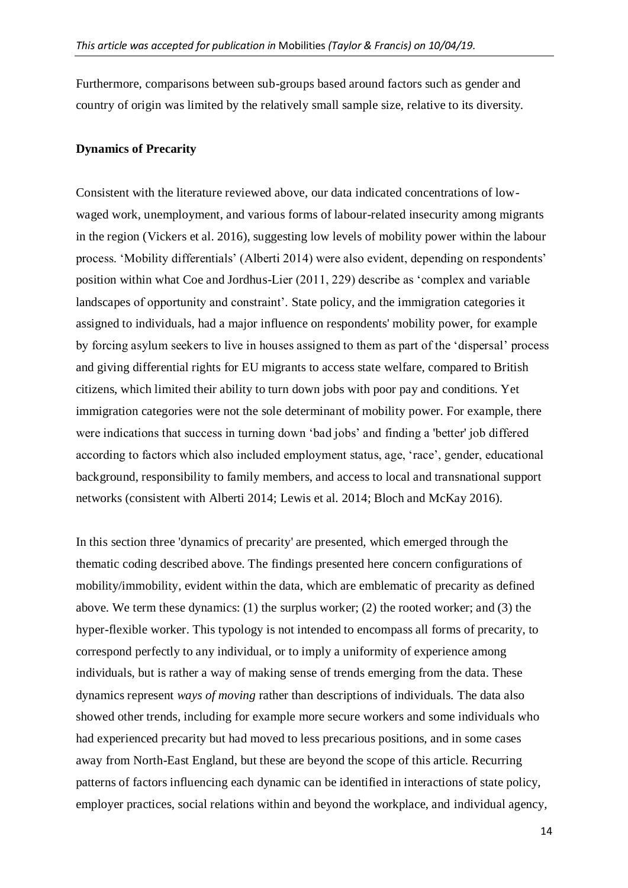Furthermore, comparisons between sub-groups based around factors such as gender and country of origin was limited by the relatively small sample size, relative to its diversity.

#### **Dynamics of Precarity**

Consistent with the literature reviewed above, our data indicated concentrations of lowwaged work, unemployment, and various forms of labour-related insecurity among migrants in the region (Vickers et al. 2016), suggesting low levels of mobility power within the labour process. 'Mobility differentials' (Alberti 2014) were also evident, depending on respondents' position within what Coe and Jordhus-Lier (2011, 229) describe as 'complex and variable landscapes of opportunity and constraint'. State policy, and the immigration categories it assigned to individuals, had a major influence on respondents' mobility power, for example by forcing asylum seekers to live in houses assigned to them as part of the 'dispersal' process and giving differential rights for EU migrants to access state welfare, compared to British citizens, which limited their ability to turn down jobs with poor pay and conditions. Yet immigration categories were not the sole determinant of mobility power. For example, there were indications that success in turning down 'bad jobs' and finding a 'better' job differed according to factors which also included employment status, age, 'race', gender, educational background, responsibility to family members, and access to local and transnational support networks (consistent with Alberti 2014; Lewis et al. 2014; Bloch and McKay 2016).

In this section three 'dynamics of precarity' are presented, which emerged through the thematic coding described above. The findings presented here concern configurations of mobility/immobility, evident within the data, which are emblematic of precarity as defined above. We term these dynamics: (1) the surplus worker; (2) the rooted worker; and (3) the hyper-flexible worker. This typology is not intended to encompass all forms of precarity, to correspond perfectly to any individual, or to imply a uniformity of experience among individuals, but is rather a way of making sense of trends emerging from the data. These dynamics represent *ways of moving* rather than descriptions of individuals. The data also showed other trends, including for example more secure workers and some individuals who had experienced precarity but had moved to less precarious positions, and in some cases away from North-East England, but these are beyond the scope of this article. Recurring patterns of factors influencing each dynamic can be identified in interactions of state policy, employer practices, social relations within and beyond the workplace, and individual agency,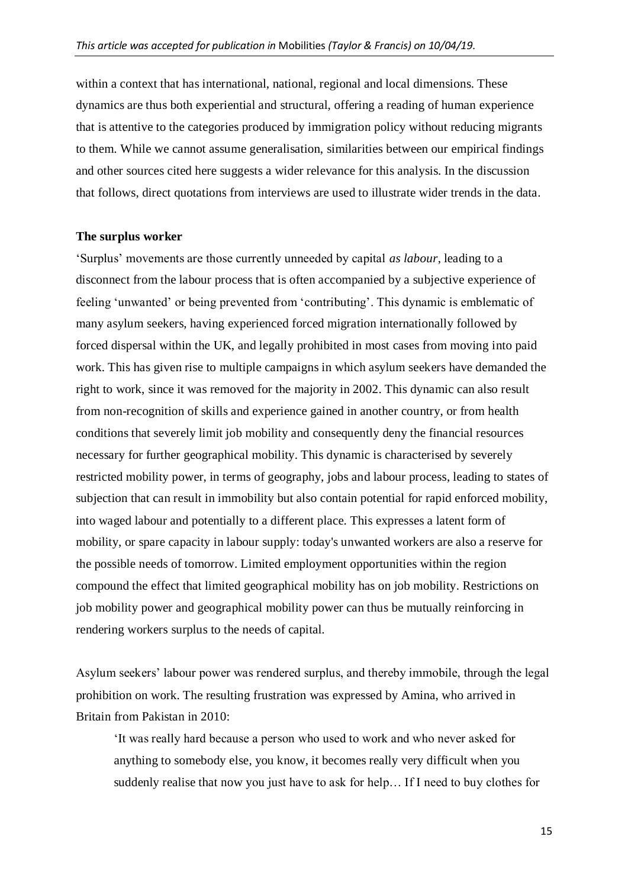within a context that has international, national, regional and local dimensions. These dynamics are thus both experiential and structural, offering a reading of human experience that is attentive to the categories produced by immigration policy without reducing migrants to them. While we cannot assume generalisation, similarities between our empirical findings and other sources cited here suggests a wider relevance for this analysis. In the discussion that follows, direct quotations from interviews are used to illustrate wider trends in the data.

#### **The surplus worker**

'Surplus' movements are those currently unneeded by capital *as labour*, leading to a disconnect from the labour process that is often accompanied by a subjective experience of feeling 'unwanted' or being prevented from 'contributing'. This dynamic is emblematic of many asylum seekers, having experienced forced migration internationally followed by forced dispersal within the UK, and legally prohibited in most cases from moving into paid work. This has given rise to multiple campaigns in which asylum seekers have demanded the right to work, since it was removed for the majority in 2002. This dynamic can also result from non-recognition of skills and experience gained in another country, or from health conditions that severely limit job mobility and consequently deny the financial resources necessary for further geographical mobility. This dynamic is characterised by severely restricted mobility power, in terms of geography, jobs and labour process, leading to states of subjection that can result in immobility but also contain potential for rapid enforced mobility, into waged labour and potentially to a different place. This expresses a latent form of mobility, or spare capacity in labour supply: today's unwanted workers are also a reserve for the possible needs of tomorrow. Limited employment opportunities within the region compound the effect that limited geographical mobility has on job mobility. Restrictions on job mobility power and geographical mobility power can thus be mutually reinforcing in rendering workers surplus to the needs of capital.

Asylum seekers' labour power was rendered surplus, and thereby immobile, through the legal prohibition on work. The resulting frustration was expressed by Amina, who arrived in Britain from Pakistan in 2010:

'It was really hard because a person who used to work and who never asked for anything to somebody else, you know, it becomes really very difficult when you suddenly realise that now you just have to ask for help… If I need to buy clothes for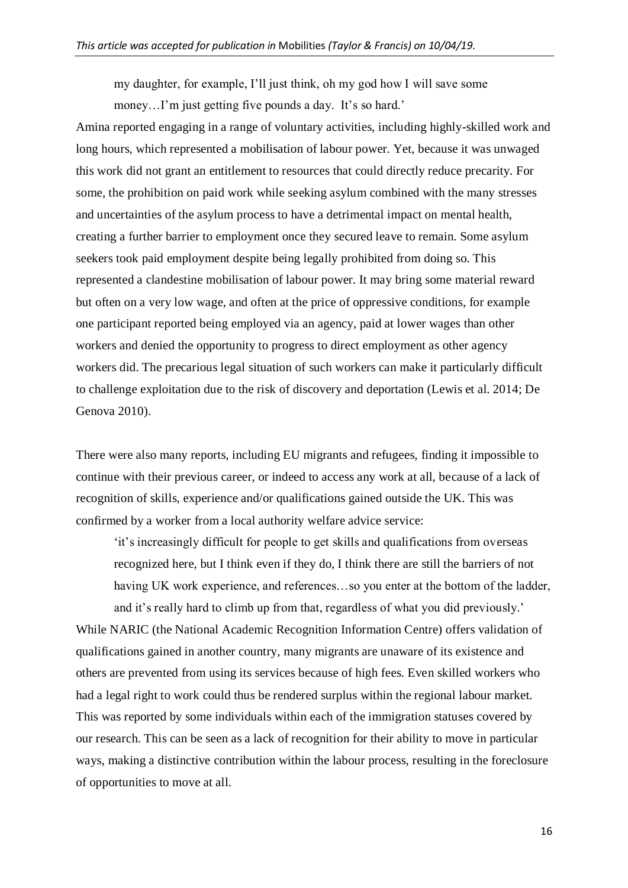my daughter, for example, I'll just think, oh my god how I will save some money...I'm just getting five pounds a day. It's so hard.'

Amina reported engaging in a range of voluntary activities, including highly-skilled work and long hours, which represented a mobilisation of labour power. Yet, because it was unwaged this work did not grant an entitlement to resources that could directly reduce precarity. For some, the prohibition on paid work while seeking asylum combined with the many stresses and uncertainties of the asylum process to have a detrimental impact on mental health, creating a further barrier to employment once they secured leave to remain. Some asylum seekers took paid employment despite being legally prohibited from doing so. This represented a clandestine mobilisation of labour power. It may bring some material reward but often on a very low wage, and often at the price of oppressive conditions, for example one participant reported being employed via an agency, paid at lower wages than other workers and denied the opportunity to progress to direct employment as other agency workers did. The precarious legal situation of such workers can make it particularly difficult to challenge exploitation due to the risk of discovery and deportation (Lewis et al. 2014; De Genova 2010).

There were also many reports, including EU migrants and refugees, finding it impossible to continue with their previous career, or indeed to access any work at all, because of a lack of recognition of skills, experience and/or qualifications gained outside the UK. This was confirmed by a worker from a local authority welfare advice service:

'it's increasingly difficult for people to get skills and qualifications from overseas recognized here, but I think even if they do, I think there are still the barriers of not having UK work experience, and references…so you enter at the bottom of the ladder, and it's really hard to climb up from that, regardless of what you did previously.'

While NARIC (the National Academic Recognition Information Centre) offers validation of qualifications gained in another country, many migrants are unaware of its existence and others are prevented from using its services because of high fees. Even skilled workers who had a legal right to work could thus be rendered surplus within the regional labour market. This was reported by some individuals within each of the immigration statuses covered by our research. This can be seen as a lack of recognition for their ability to move in particular ways, making a distinctive contribution within the labour process, resulting in the foreclosure of opportunities to move at all.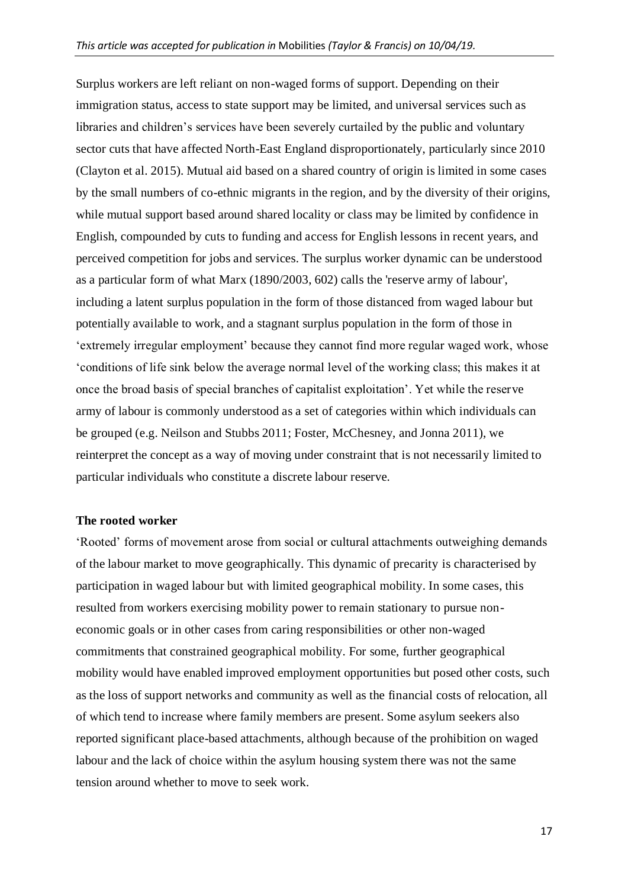Surplus workers are left reliant on non-waged forms of support. Depending on their immigration status, access to state support may be limited, and universal services such as libraries and children's services have been severely curtailed by the public and voluntary sector cuts that have affected North-East England disproportionately, particularly since 2010 (Clayton et al. 2015). Mutual aid based on a shared country of origin is limited in some cases by the small numbers of co-ethnic migrants in the region, and by the diversity of their origins, while mutual support based around shared locality or class may be limited by confidence in English, compounded by cuts to funding and access for English lessons in recent years, and perceived competition for jobs and services. The surplus worker dynamic can be understood as a particular form of what Marx (1890/2003, 602) calls the 'reserve army of labour', including a latent surplus population in the form of those distanced from waged labour but potentially available to work, and a stagnant surplus population in the form of those in 'extremely irregular employment' because they cannot find more regular waged work, whose 'conditions of life sink below the average normal level of the working class; this makes it at once the broad basis of special branches of capitalist exploitation'. Yet while the reserve army of labour is commonly understood as a set of categories within which individuals can be grouped (e.g. Neilson and Stubbs 2011; Foster, McChesney, and Jonna 2011), we reinterpret the concept as a way of moving under constraint that is not necessarily limited to particular individuals who constitute a discrete labour reserve.

#### **The rooted worker**

'Rooted' forms of movement arose from social or cultural attachments outweighing demands of the labour market to move geographically. This dynamic of precarity is characterised by participation in waged labour but with limited geographical mobility. In some cases, this resulted from workers exercising mobility power to remain stationary to pursue noneconomic goals or in other cases from caring responsibilities or other non-waged commitments that constrained geographical mobility. For some, further geographical mobility would have enabled improved employment opportunities but posed other costs, such as the loss of support networks and community as well as the financial costs of relocation, all of which tend to increase where family members are present. Some asylum seekers also reported significant place-based attachments, although because of the prohibition on waged labour and the lack of choice within the asylum housing system there was not the same tension around whether to move to seek work.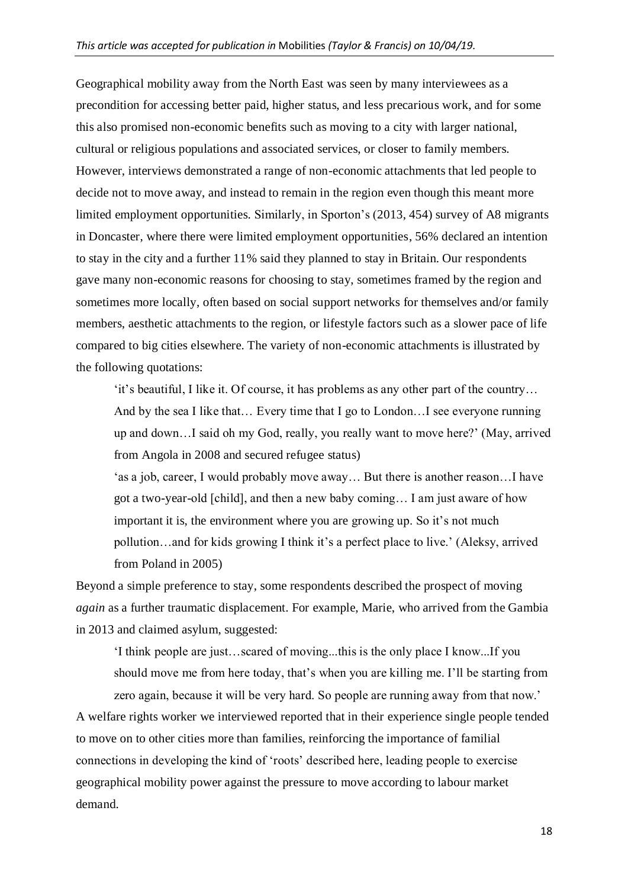Geographical mobility away from the North East was seen by many interviewees as a precondition for accessing better paid, higher status, and less precarious work, and for some this also promised non-economic benefits such as moving to a city with larger national, cultural or religious populations and associated services, or closer to family members. However, interviews demonstrated a range of non-economic attachments that led people to decide not to move away, and instead to remain in the region even though this meant more limited employment opportunities. Similarly, in Sporton's (2013, 454) survey of A8 migrants in Doncaster, where there were limited employment opportunities, 56% declared an intention to stay in the city and a further 11% said they planned to stay in Britain. Our respondents gave many non-economic reasons for choosing to stay, sometimes framed by the region and sometimes more locally, often based on social support networks for themselves and/or family members, aesthetic attachments to the region, or lifestyle factors such as a slower pace of life compared to big cities elsewhere. The variety of non-economic attachments is illustrated by the following quotations:

'it's beautiful, I like it. Of course, it has problems as any other part of the country… And by the sea I like that… Every time that I go to London…I see everyone running up and down…I said oh my God, really, you really want to move here?' (May, arrived from Angola in 2008 and secured refugee status)

'as a job, career, I would probably move away… But there is another reason…I have got a two-year-old [child], and then a new baby coming… I am just aware of how important it is, the environment where you are growing up. So it's not much pollution…and for kids growing I think it's a perfect place to live.' (Aleksy, arrived from Poland in 2005)

Beyond a simple preference to stay, some respondents described the prospect of moving *again* as a further traumatic displacement. For example, Marie, who arrived from the Gambia in 2013 and claimed asylum, suggested:

'I think people are just…scared of moving...this is the only place I know...If you should move me from here today, that's when you are killing me. I'll be starting from

zero again, because it will be very hard. So people are running away from that now.' A welfare rights worker we interviewed reported that in their experience single people tended to move on to other cities more than families, reinforcing the importance of familial connections in developing the kind of 'roots' described here, leading people to exercise geographical mobility power against the pressure to move according to labour market demand.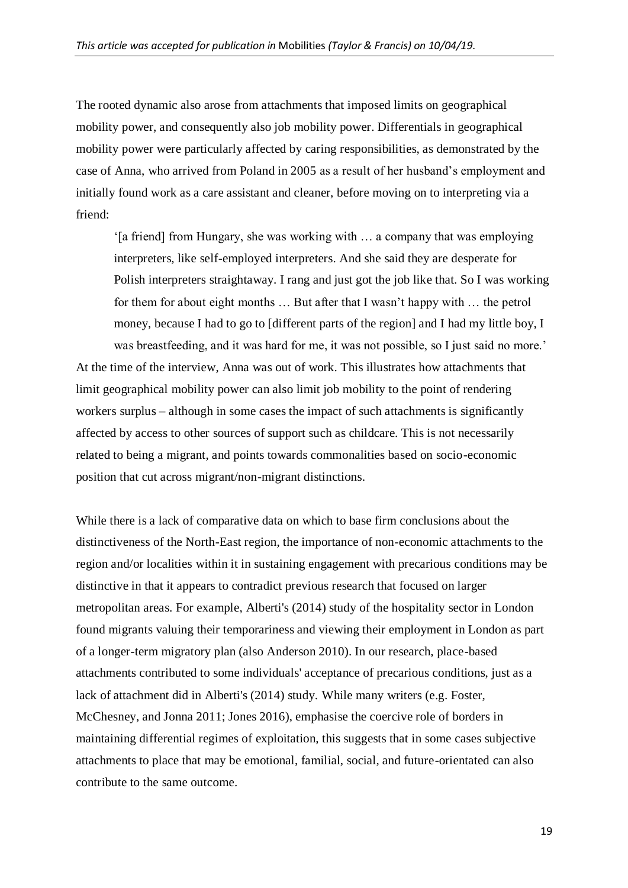The rooted dynamic also arose from attachments that imposed limits on geographical mobility power, and consequently also job mobility power. Differentials in geographical mobility power were particularly affected by caring responsibilities, as demonstrated by the case of Anna, who arrived from Poland in 2005 as a result of her husband's employment and initially found work as a care assistant and cleaner, before moving on to interpreting via a friend:

'[a friend] from Hungary, she was working with … a company that was employing interpreters, like self-employed interpreters. And she said they are desperate for Polish interpreters straightaway. I rang and just got the job like that. So I was working for them for about eight months … But after that I wasn't happy with … the petrol money, because I had to go to [different parts of the region] and I had my little boy, I was breastfeeding, and it was hard for me, it was not possible, so I just said no more.' At the time of the interview, Anna was out of work. This illustrates how attachments that limit geographical mobility power can also limit job mobility to the point of rendering workers surplus – although in some cases the impact of such attachments is significantly affected by access to other sources of support such as childcare. This is not necessarily related to being a migrant, and points towards commonalities based on socio-economic position that cut across migrant/non-migrant distinctions.

While there is a lack of comparative data on which to base firm conclusions about the distinctiveness of the North-East region, the importance of non-economic attachments to the region and/or localities within it in sustaining engagement with precarious conditions may be distinctive in that it appears to contradict previous research that focused on larger metropolitan areas. For example, Alberti's (2014) study of the hospitality sector in London found migrants valuing their temporariness and viewing their employment in London as part of a longer-term migratory plan (also Anderson 2010). In our research, place-based attachments contributed to some individuals' acceptance of precarious conditions, just as a lack of attachment did in Alberti's (2014) study. While many writers (e.g. Foster, McChesney, and Jonna 2011; Jones 2016), emphasise the coercive role of borders in maintaining differential regimes of exploitation, this suggests that in some cases subjective attachments to place that may be emotional, familial, social, and future-orientated can also contribute to the same outcome.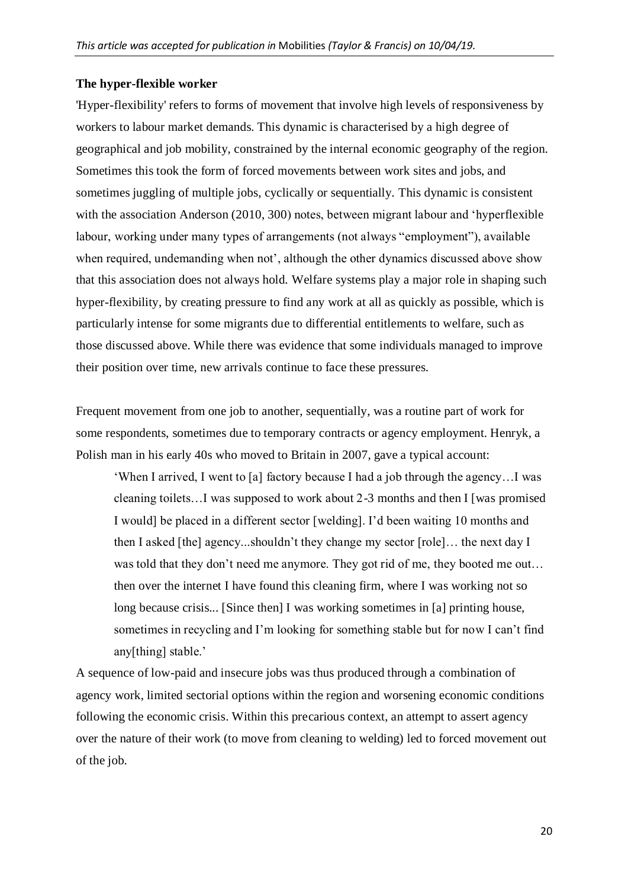#### **The hyper-flexible worker**

'Hyper-flexibility' refers to forms of movement that involve high levels of responsiveness by workers to labour market demands. This dynamic is characterised by a high degree of geographical and job mobility, constrained by the internal economic geography of the region. Sometimes this took the form of forced movements between work sites and jobs, and sometimes juggling of multiple jobs, cyclically or sequentially. This dynamic is consistent with the association Anderson (2010, 300) notes, between migrant labour and 'hyperflexible labour, working under many types of arrangements (not always "employment"), available when required, undemanding when not', although the other dynamics discussed above show that this association does not always hold. Welfare systems play a major role in shaping such hyper-flexibility, by creating pressure to find any work at all as quickly as possible, which is particularly intense for some migrants due to differential entitlements to welfare, such as those discussed above. While there was evidence that some individuals managed to improve their position over time, new arrivals continue to face these pressures.

Frequent movement from one job to another, sequentially, was a routine part of work for some respondents, sometimes due to temporary contracts or agency employment. Henryk, a Polish man in his early 40s who moved to Britain in 2007, gave a typical account:

'When I arrived, I went to [a] factory because I had a job through the agency…I was cleaning toilets…I was supposed to work about 2-3 months and then I [was promised I would] be placed in a different sector [welding]. I'd been waiting 10 months and then I asked [the] agency...shouldn't they change my sector [role]… the next day I was told that they don't need me anymore. They got rid of me, they booted me out... then over the internet I have found this cleaning firm, where I was working not so long because crisis... [Since then] I was working sometimes in [a] printing house, sometimes in recycling and I'm looking for something stable but for now I can't find any[thing] stable.'

A sequence of low-paid and insecure jobs was thus produced through a combination of agency work, limited sectorial options within the region and worsening economic conditions following the economic crisis. Within this precarious context, an attempt to assert agency over the nature of their work (to move from cleaning to welding) led to forced movement out of the job.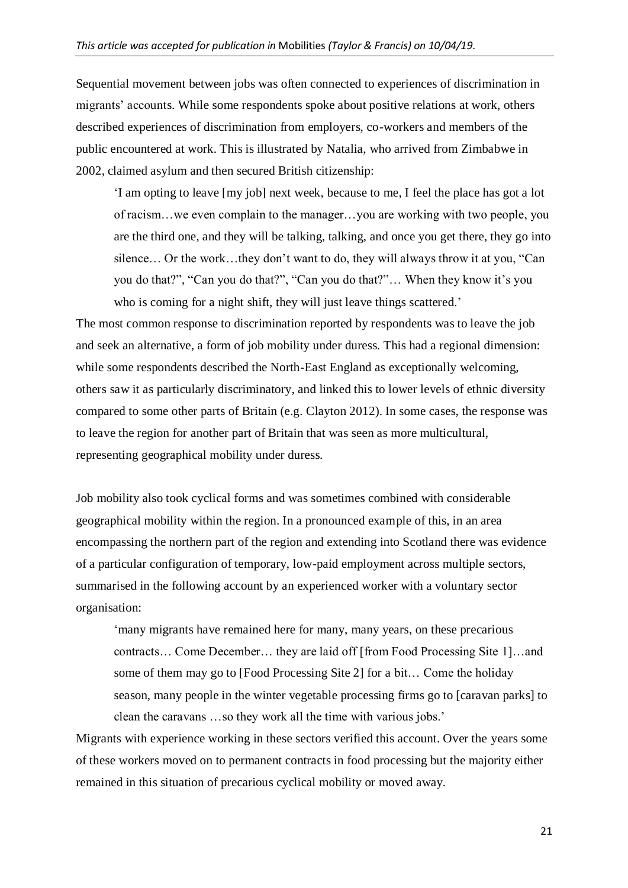Sequential movement between jobs was often connected to experiences of discrimination in migrants' accounts. While some respondents spoke about positive relations at work, others described experiences of discrimination from employers, co-workers and members of the public encountered at work. This is illustrated by Natalia, who arrived from Zimbabwe in 2002, claimed asylum and then secured British citizenship:

'I am opting to leave [my job] next week, because to me, I feel the place has got a lot of racism…we even complain to the manager…you are working with two people, you are the third one, and they will be talking, talking, and once you get there, they go into silence… Or the work…they don't want to do, they will always throw it at you, "Can you do that?", "Can you do that?", "Can you do that?"… When they know it's you who is coming for a night shift, they will just leave things scattered.'

The most common response to discrimination reported by respondents was to leave the job and seek an alternative, a form of job mobility under duress. This had a regional dimension: while some respondents described the North-East England as exceptionally welcoming, others saw it as particularly discriminatory, and linked this to lower levels of ethnic diversity compared to some other parts of Britain (e.g. Clayton 2012). In some cases, the response was to leave the region for another part of Britain that was seen as more multicultural, representing geographical mobility under duress.

Job mobility also took cyclical forms and was sometimes combined with considerable geographical mobility within the region. In a pronounced example of this, in an area encompassing the northern part of the region and extending into Scotland there was evidence of a particular configuration of temporary, low-paid employment across multiple sectors, summarised in the following account by an experienced worker with a voluntary sector organisation:

'many migrants have remained here for many, many years, on these precarious contracts… Come December… they are laid off [from Food Processing Site 1]…and some of them may go to [Food Processing Site 2] for a bit… Come the holiday season, many people in the winter vegetable processing firms go to [caravan parks] to clean the caravans …so they work all the time with various jobs.'

Migrants with experience working in these sectors verified this account. Over the years some of these workers moved on to permanent contracts in food processing but the majority either remained in this situation of precarious cyclical mobility or moved away.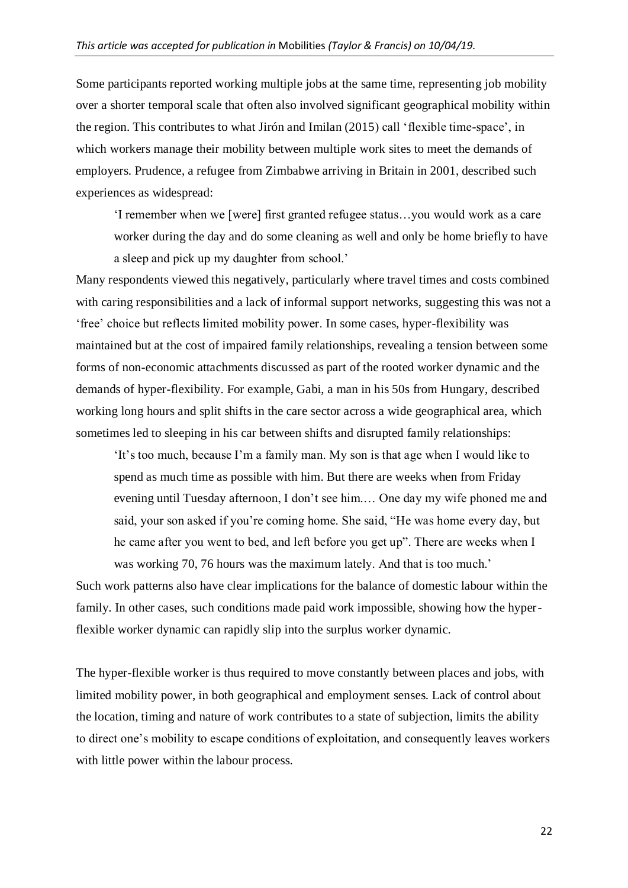Some participants reported working multiple jobs at the same time, representing job mobility over a shorter temporal scale that often also involved significant geographical mobility within the region. This contributes to what Jirón and Imilan (2015) call 'flexible time-space', in which workers manage their mobility between multiple work sites to meet the demands of employers. Prudence, a refugee from Zimbabwe arriving in Britain in 2001, described such experiences as widespread:

'I remember when we [were] first granted refugee status…you would work as a care worker during the day and do some cleaning as well and only be home briefly to have a sleep and pick up my daughter from school.'

Many respondents viewed this negatively, particularly where travel times and costs combined with caring responsibilities and a lack of informal support networks, suggesting this was not a 'free' choice but reflects limited mobility power. In some cases, hyper-flexibility was maintained but at the cost of impaired family relationships, revealing a tension between some forms of non-economic attachments discussed as part of the rooted worker dynamic and the demands of hyper-flexibility. For example, Gabi, a man in his 50s from Hungary, described working long hours and split shifts in the care sector across a wide geographical area, which sometimes led to sleeping in his car between shifts and disrupted family relationships:

'It's too much, because I'm a family man. My son is that age when I would like to spend as much time as possible with him. But there are weeks when from Friday evening until Tuesday afternoon, I don't see him.… One day my wife phoned me and said, your son asked if you're coming home. She said, "He was home every day, but he came after you went to bed, and left before you get up". There are weeks when I was working 70, 76 hours was the maximum lately. And that is too much.'

Such work patterns also have clear implications for the balance of domestic labour within the family. In other cases, such conditions made paid work impossible, showing how the hyperflexible worker dynamic can rapidly slip into the surplus worker dynamic.

The hyper-flexible worker is thus required to move constantly between places and jobs, with limited mobility power, in both geographical and employment senses. Lack of control about the location, timing and nature of work contributes to a state of subjection, limits the ability to direct one's mobility to escape conditions of exploitation, and consequently leaves workers with little power within the labour process.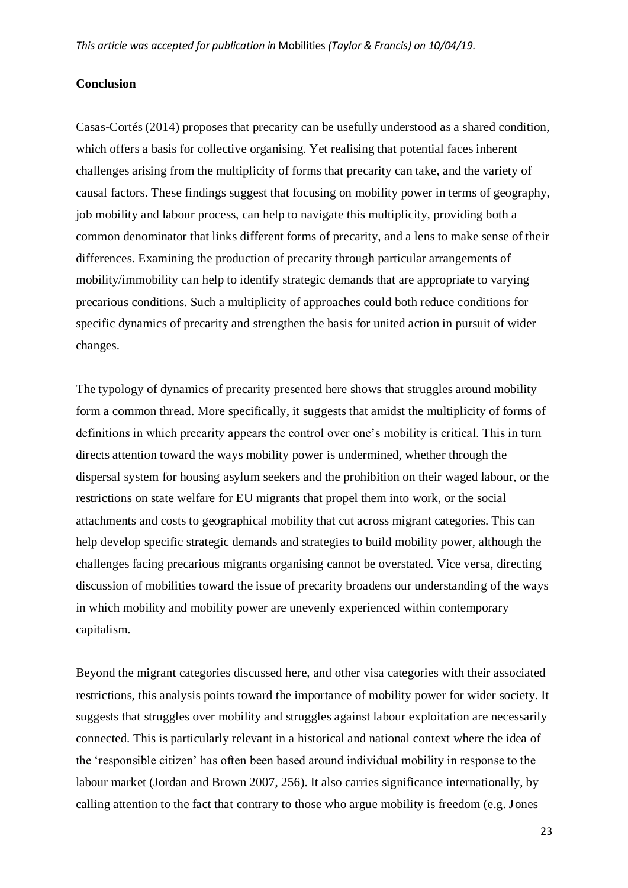#### **Conclusion**

Casas-Cortés (2014) proposes that precarity can be usefully understood as a shared condition, which offers a basis for collective organising. Yet realising that potential faces inherent challenges arising from the multiplicity of forms that precarity can take, and the variety of causal factors. These findings suggest that focusing on mobility power in terms of geography, job mobility and labour process, can help to navigate this multiplicity, providing both a common denominator that links different forms of precarity, and a lens to make sense of their differences. Examining the production of precarity through particular arrangements of mobility/immobility can help to identify strategic demands that are appropriate to varying precarious conditions. Such a multiplicity of approaches could both reduce conditions for specific dynamics of precarity and strengthen the basis for united action in pursuit of wider changes.

The typology of dynamics of precarity presented here shows that struggles around mobility form a common thread. More specifically, it suggests that amidst the multiplicity of forms of definitions in which precarity appears the control over one's mobility is critical. This in turn directs attention toward the ways mobility power is undermined, whether through the dispersal system for housing asylum seekers and the prohibition on their waged labour, or the restrictions on state welfare for EU migrants that propel them into work, or the social attachments and costs to geographical mobility that cut across migrant categories. This can help develop specific strategic demands and strategies to build mobility power, although the challenges facing precarious migrants organising cannot be overstated. Vice versa, directing discussion of mobilities toward the issue of precarity broadens our understanding of the ways in which mobility and mobility power are unevenly experienced within contemporary capitalism.

Beyond the migrant categories discussed here, and other visa categories with their associated restrictions, this analysis points toward the importance of mobility power for wider society. It suggests that struggles over mobility and struggles against labour exploitation are necessarily connected. This is particularly relevant in a historical and national context where the idea of the 'responsible citizen' has often been based around individual mobility in response to the labour market (Jordan and Brown 2007, 256). It also carries significance internationally, by calling attention to the fact that contrary to those who argue mobility is freedom (e.g. Jones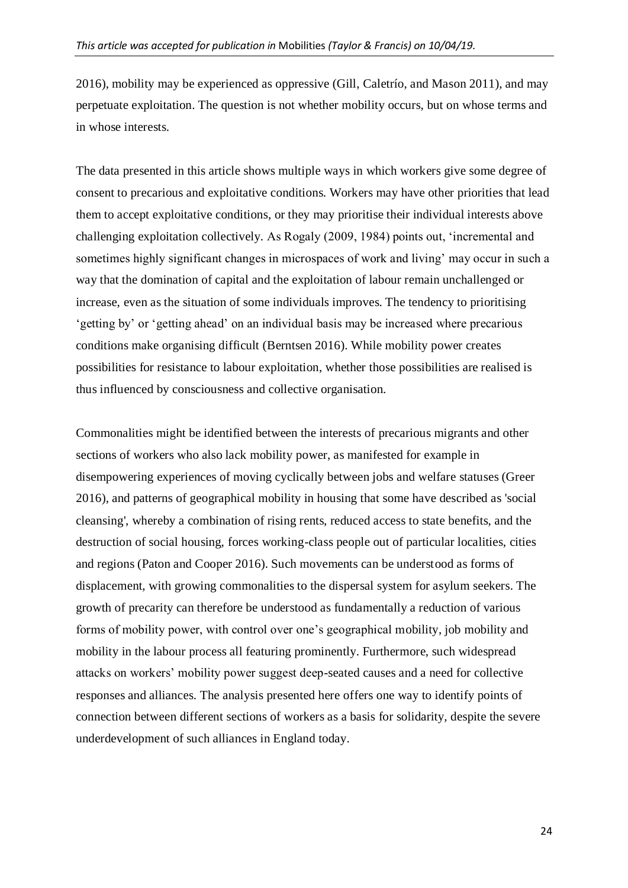2016), mobility may be experienced as oppressive (Gill, Caletrío, and Mason 2011), and may perpetuate exploitation. The question is not whether mobility occurs, but on whose terms and in whose interests.

The data presented in this article shows multiple ways in which workers give some degree of consent to precarious and exploitative conditions. Workers may have other priorities that lead them to accept exploitative conditions, or they may prioritise their individual interests above challenging exploitation collectively. As Rogaly (2009, 1984) points out, 'incremental and sometimes highly significant changes in microspaces of work and living' may occur in such a way that the domination of capital and the exploitation of labour remain unchallenged or increase, even as the situation of some individuals improves. The tendency to prioritising 'getting by' or 'getting ahead' on an individual basis may be increased where precarious conditions make organising difficult (Berntsen 2016). While mobility power creates possibilities for resistance to labour exploitation, whether those possibilities are realised is thus influenced by consciousness and collective organisation.

Commonalities might be identified between the interests of precarious migrants and other sections of workers who also lack mobility power, as manifested for example in disempowering experiences of moving cyclically between jobs and welfare statuses (Greer 2016), and patterns of geographical mobility in housing that some have described as 'social cleansing', whereby a combination of rising rents, reduced access to state benefits, and the destruction of social housing, forces working-class people out of particular localities, cities and regions (Paton and Cooper 2016). Such movements can be understood as forms of displacement, with growing commonalities to the dispersal system for asylum seekers. The growth of precarity can therefore be understood as fundamentally a reduction of various forms of mobility power, with control over one's geographical mobility, job mobility and mobility in the labour process all featuring prominently. Furthermore, such widespread attacks on workers' mobility power suggest deep-seated causes and a need for collective responses and alliances. The analysis presented here offers one way to identify points of connection between different sections of workers as a basis for solidarity, despite the severe underdevelopment of such alliances in England today.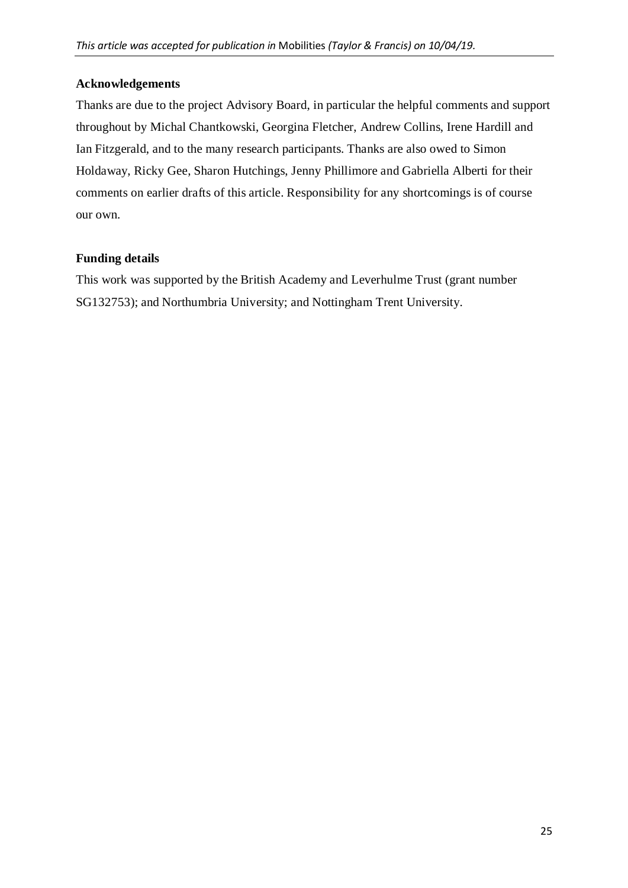## **Acknowledgements**

Thanks are due to the project Advisory Board, in particular the helpful comments and support throughout by Michal Chantkowski, Georgina Fletcher, Andrew Collins, Irene Hardill and Ian Fitzgerald, and to the many research participants. Thanks are also owed to Simon Holdaway, Ricky Gee, Sharon Hutchings, Jenny Phillimore and Gabriella Alberti for their comments on earlier drafts of this article. Responsibility for any shortcomings is of course our own.

## **Funding details**

This work was supported by the British Academy and Leverhulme Trust (grant number SG132753); and Northumbria University; and Nottingham Trent University.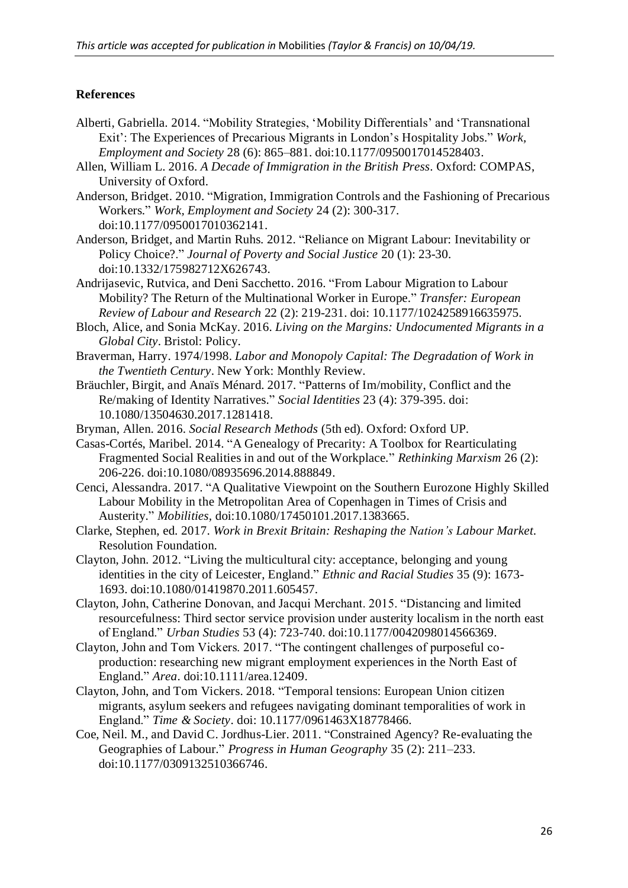### **References**

- Alberti, Gabriella. 2014. "Mobility Strategies, 'Mobility Differentials' and 'Transnational Exit': The Experiences of Precarious Migrants in London's Hospitality Jobs." *Work, Employment and Society* 28 (6): 865–881. doi:10.1177/0950017014528403.
- Allen, William L. 2016. *A Decade of Immigration in the British Press*. Oxford: COMPAS, University of Oxford.
- Anderson, Bridget. 2010. "Migration, Immigration Controls and the Fashioning of Precarious Workers." *Work, Employment and Society* 24 (2): 300-317. doi:10.1177/0950017010362141.
- Anderson, Bridget, and Martin Ruhs. 2012. "Reliance on Migrant Labour: Inevitability or Policy Choice?." *Journal of Poverty and Social Justice* 20 (1): 23-30. doi:10.1332/175982712X626743.
- Andrijasevic, Rutvica, and Deni Sacchetto. 2016. "From Labour Migration to Labour Mobility? The Return of the Multinational Worker in Europe." *Transfer: European Review of Labour and Research* 22 (2): 219-231. doi: 10.1177/1024258916635975.
- Bloch, Alice, and Sonia McKay. 2016. *Living on the Margins: Undocumented Migrants in a Global City*. Bristol: Policy.
- Braverman, Harry. 1974/1998. *Labor and Monopoly Capital: The Degradation of Work in the Twentieth Century*. New York: Monthly Review.
- Bräuchler, Birgit, and Anaïs Ménard. 2017. "Patterns of Im/mobility, Conflict and the Re/making of Identity Narratives." *Social Identities* 23 (4): 379-395. doi: 10.1080/13504630.2017.1281418.
- Bryman, Allen. 2016. *Social Research Methods* (5th ed). Oxford: Oxford UP.
- Casas-Cortés, Maribel. 2014. "A Genealogy of Precarity: A Toolbox for Rearticulating Fragmented Social Realities in and out of the Workplace." *Rethinking Marxism* 26 (2): 206-226. doi:10.1080/08935696.2014.888849.
- Cenci, Alessandra. 2017. "A Qualitative Viewpoint on the Southern Eurozone Highly Skilled Labour Mobility in the Metropolitan Area of Copenhagen in Times of Crisis and Austerity." *Mobilities,* doi:10.1080/17450101.2017.1383665.
- Clarke, Stephen, ed. 2017. *Work in Brexit Britain: Reshaping the Nation's Labour Market*. Resolution Foundation.
- Clayton, John. 2012. "Living the multicultural city: acceptance, belonging and young identities in the city of Leicester, England." *Ethnic and Racial Studies* 35 (9): 1673- 1693. doi:10.1080/01419870.2011.605457.
- Clayton, John, Catherine Donovan, and Jacqui Merchant. 2015. "Distancing and limited resourcefulness: Third sector service provision under austerity localism in the north east of England." *Urban Studies* 53 (4): 723-740. doi:10.1177/0042098014566369.
- Clayton, John and Tom Vickers. 2017. "The contingent challenges of purposeful coproduction: researching new migrant employment experiences in the North East of England." *Area*. doi:10.1111/area.12409.
- Clayton, John, and Tom Vickers. 2018. "Temporal tensions: European Union citizen migrants, asylum seekers and refugees navigating dominant temporalities of work in England." *Time & Society*. doi: 10.1177/0961463X18778466.
- Coe, Neil. M., and David C. Jordhus-Lier. 2011. "Constrained Agency? Re-evaluating the Geographies of Labour." *Progress in Human Geography* 35 (2): 211–233. doi:10.1177/0309132510366746.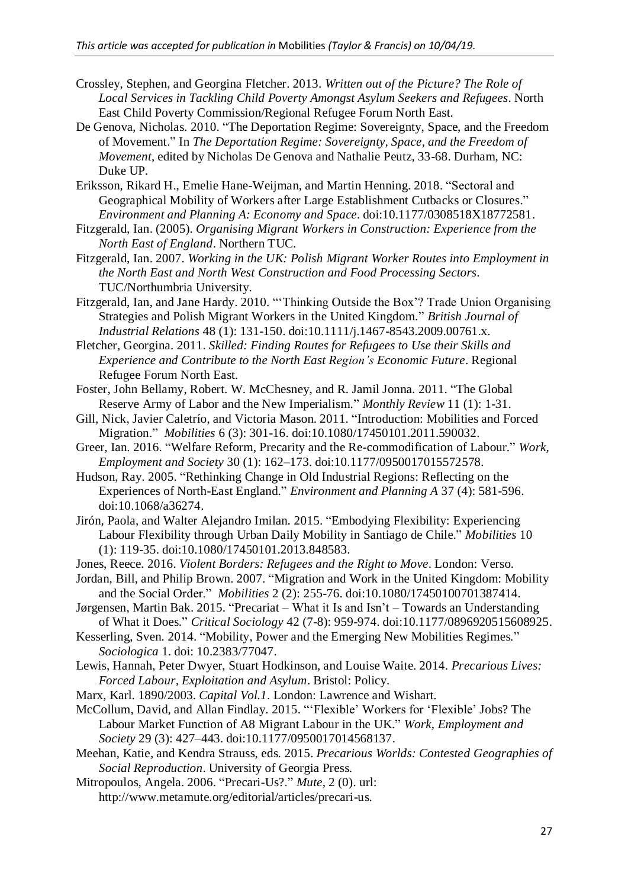- Crossley, Stephen, and Georgina Fletcher. 2013. *Written out of the Picture? The Role of Local Services in Tackling Child Poverty Amongst Asylum Seekers and Refugees*. North East Child Poverty Commission/Regional Refugee Forum North East.
- De Genova, Nicholas. 2010. "The Deportation Regime: Sovereignty, Space, and the Freedom of Movement." In *The Deportation Regime: Sovereignty, Space, and the Freedom of Movement*, edited by Nicholas De Genova and Nathalie Peutz, 33-68. Durham, NC: Duke UP.
- Eriksson, Rikard H., Emelie Hane-Weijman, and Martin Henning. 2018. "Sectoral and Geographical Mobility of Workers after Large Establishment Cutbacks or Closures." *Environment and Planning A: Economy and Space*. doi:10.1177/0308518X18772581.
- Fitzgerald, Ian. (2005). *Organising Migrant Workers in Construction: Experience from the North East of England*. Northern TUC.
- Fitzgerald, Ian. 2007. *Working in the UK: Polish Migrant Worker Routes into Employment in the North East and North West Construction and Food Processing Sectors*. TUC/Northumbria University.
- Fitzgerald, Ian, and Jane Hardy. 2010. "'Thinking Outside the Box'? Trade Union Organising Strategies and Polish Migrant Workers in the United Kingdom." *British Journal of Industrial Relations* 48 (1): 131-150. doi:10.1111/j.1467-8543.2009.00761.x.
- Fletcher, Georgina. 2011. *Skilled: Finding Routes for Refugees to Use their Skills and Experience and Contribute to the North East Region's Economic Future*. Regional Refugee Forum North East.
- Foster, John Bellamy, Robert. W. McChesney, and R. Jamil Jonna. 2011. "The Global Reserve Army of Labor and the New Imperialism." *Monthly Review* 11 (1): 1-31.
- Gill, Nick, Javier Caletrío, and Victoria Mason. 2011. "Introduction: Mobilities and Forced Migration." *Mobilities* 6 (3): 301-16. doi:10.1080/17450101.2011.590032.
- Greer, Ian. 2016. "Welfare Reform, Precarity and the Re-commodification of Labour." *Work, Employment and Society* 30 (1): 162–173. doi:10.1177/0950017015572578.
- Hudson, Ray. 2005. "Rethinking Change in Old Industrial Regions: Reflecting on the Experiences of North-East England." *Environment and Planning A* 37 (4): 581-596. doi:10.1068/a36274.
- Jirón, Paola, and Walter Alejandro Imilan. 2015. "Embodying Flexibility: Experiencing Labour Flexibility through Urban Daily Mobility in Santiago de Chile." *Mobilities* 10 (1): 119-35. doi:10.1080/17450101.2013.848583.
- Jones, Reece. 2016. *Violent Borders: Refugees and the Right to Move*. London: Verso.
- Jordan, Bill, and Philip Brown. 2007. "Migration and Work in the United Kingdom: Mobility and the Social Order." *Mobilities* 2 (2): 255-76. doi:10.1080/17450100701387414.
- Jørgensen, Martin Bak. 2015. "Precariat What it Is and Isn't Towards an Understanding of What it Does." *Critical Sociology* 42 (7-8): 959-974. doi:10.1177/0896920515608925.
- Kesserling, Sven. 2014. "Mobility, Power and the Emerging New Mobilities Regimes." *Sociologica* 1. doi: 10.2383/77047.
- Lewis, Hannah, Peter Dwyer, Stuart Hodkinson, and Louise Waite. 2014. *Precarious Lives: Forced Labour, Exploitation and Asylum*. Bristol: Policy.
- Marx, Karl. 1890/2003. *Capital Vol.1*. London: Lawrence and Wishart.
- McCollum, David, and Allan Findlay. 2015. "'Flexible' Workers for 'Flexible' Jobs? The Labour Market Function of A8 Migrant Labour in the UK." *Work, Employment and Society* 29 (3): 427–443. doi:10.1177/0950017014568137.
- Meehan, Katie, and Kendra Strauss, eds. 2015. *Precarious Worlds: Contested Geographies of Social Reproduction*. University of Georgia Press.
- Mitropoulos, Angela. 2006. "Precari-Us?." *Mute*, 2 (0). url: http://www.metamute.org/editorial/articles/precari-us.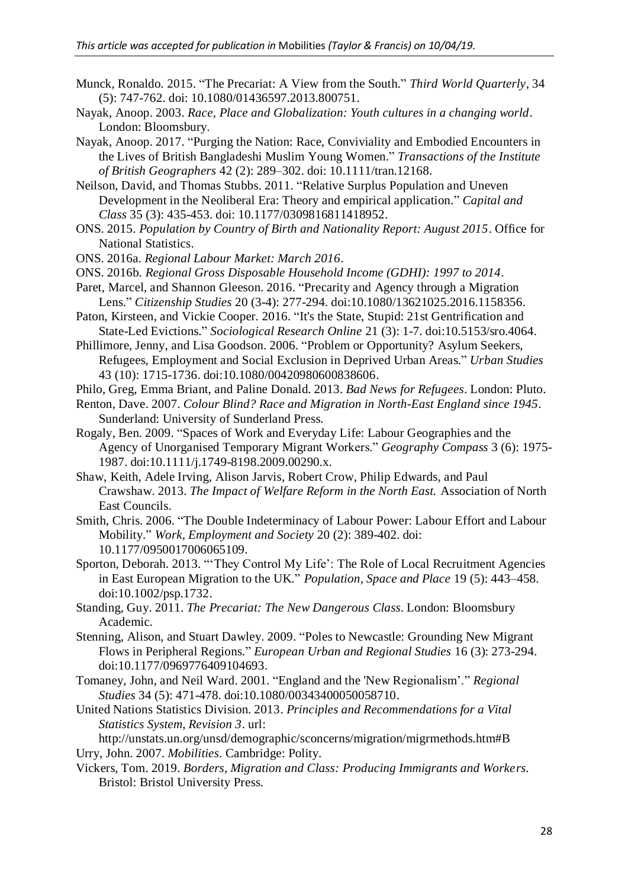- Munck, Ronaldo. 2015. "The Precariat: A View from the South." *Third World Quarterly*, 34 (5): 747-762. doi: 10.1080/01436597.2013.800751.
- Nayak, Anoop. 2003. *Race, Place and Globalization: Youth cultures in a changing world*. London: Bloomsbury.
- Nayak, Anoop. 2017. "Purging the Nation: Race, Conviviality and Embodied Encounters in the Lives of British Bangladeshi Muslim Young Women." *Transactions of the Institute of British Geographers* 42 (2): 289–302. doi: 10.1111/tran.12168.
- Neilson, David, and Thomas Stubbs. 2011. "Relative Surplus Population and Uneven Development in the Neoliberal Era: Theory and empirical application." *Capital and Class* 35 (3): 435-453. doi: 10.1177/0309816811418952.
- ONS. 2015. *Population by Country of Birth and Nationality Report: August 2015*. Office for National Statistics.
- ONS. 2016a. *Regional Labour Market: March 2016*.
- ONS. 2016b. *Regional Gross Disposable Household Income (GDHI): 1997 to 2014*.
- Paret, Marcel, and Shannon Gleeson. 2016. "Precarity and Agency through a Migration Lens." *Citizenship Studies* 20 (3-4): 277-294. doi:10.1080/13621025.2016.1158356.

Paton, Kirsteen, and Vickie Cooper. 2016. "It's the State, Stupid: 21st Gentrification and State-Led Evictions." *Sociological Research Online* 21 (3): 1-7. doi:10.5153/sro.4064.

Phillimore, Jenny, and Lisa Goodson. 2006. "Problem or Opportunity? Asylum Seekers, Refugees, Employment and Social Exclusion in Deprived Urban Areas." *Urban Studies* 43 (10): 1715-1736. doi:10.1080/00420980600838606.

Philo, Greg, Emma Briant, and Paline Donald. 2013. *Bad News for Refugees*. London: Pluto.

Renton, Dave. 2007. *Colour Blind? Race and Migration in North-East England since 1945*. Sunderland: University of Sunderland Press.

- Rogaly, Ben. 2009. "Spaces of Work and Everyday Life: Labour Geographies and the Agency of Unorganised Temporary Migrant Workers." *Geography Compass* 3 (6): 1975- 1987. doi:10.1111/j.1749-8198.2009.00290.x.
- Shaw, Keith, Adele Irving, Alison Jarvis, Robert Crow, Philip Edwards, and Paul Crawshaw. 2013. *The Impact of Welfare Reform in the North East.* Association of North East Councils.
- Smith, Chris. 2006. "The Double Indeterminacy of Labour Power: Labour Effort and Labour Mobility." *Work, Employment and Society* 20 (2): 389-402. doi: 10.1177/0950017006065109.
- Sporton, Deborah. 2013. "'They Control My Life': The Role of Local Recruitment Agencies in East European Migration to the UK." *Population, Space and Place* 19 (5): 443–458. doi:10.1002/psp.1732.
- Standing, Guy. 2011. *The Precariat: The New Dangerous Class*. London: Bloomsbury Academic.
- Stenning, Alison, and Stuart Dawley. 2009. "Poles to Newcastle: Grounding New Migrant Flows in Peripheral Regions." *European Urban and Regional Studies* 16 (3): 273-294. doi:10.1177/0969776409104693.
- Tomaney, John, and Neil Ward. 2001. "England and the 'New Regionalism'." *Regional Studies* 34 (5): 471-478. doi:10.1080/00343400050058710.
- United Nations Statistics Division. 2013. *Principles and Recommendations for a Vital Statistics System, Revision 3*. url:

http://unstats.un.org/unsd/demographic/sconcerns/migration/migrmethods.htm#B Urry, John. 2007. *Mobilities*. Cambridge: Polity.

Vickers, Tom. 2019. *Borders, Migration and Class: Producing Immigrants and Workers.* Bristol: Bristol University Press.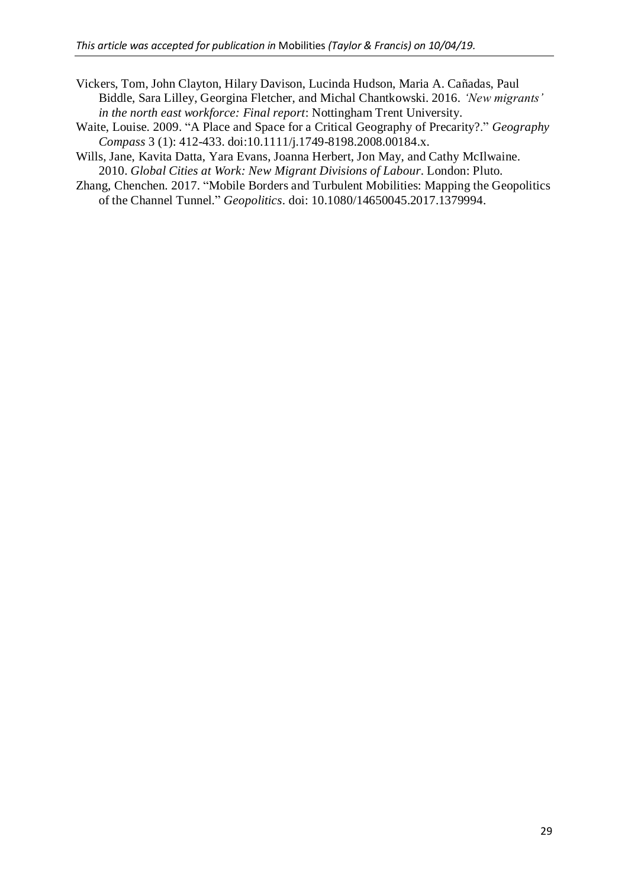- Vickers, Tom, John Clayton, Hilary Davison, Lucinda Hudson, Maria A. Cañadas, Paul Biddle, Sara Lilley, Georgina Fletcher, and Michal Chantkowski. 2016. *'New migrants' in the north east workforce: Final report*: Nottingham Trent University.
- Waite, Louise. 2009. "A Place and Space for a Critical Geography of Precarity?." *Geography Compass* 3 (1): 412-433. doi:10.1111/j.1749-8198.2008.00184.x.
- Wills, Jane, Kavita Datta, Yara Evans, Joanna Herbert, Jon May, and Cathy McIlwaine. 2010. *Global Cities at Work: New Migrant Divisions of Labour*. London: Pluto.
- Zhang, Chenchen. 2017. "Mobile Borders and Turbulent Mobilities: Mapping the Geopolitics of the Channel Tunnel." *Geopolitics*. doi: 10.1080/14650045.2017.1379994.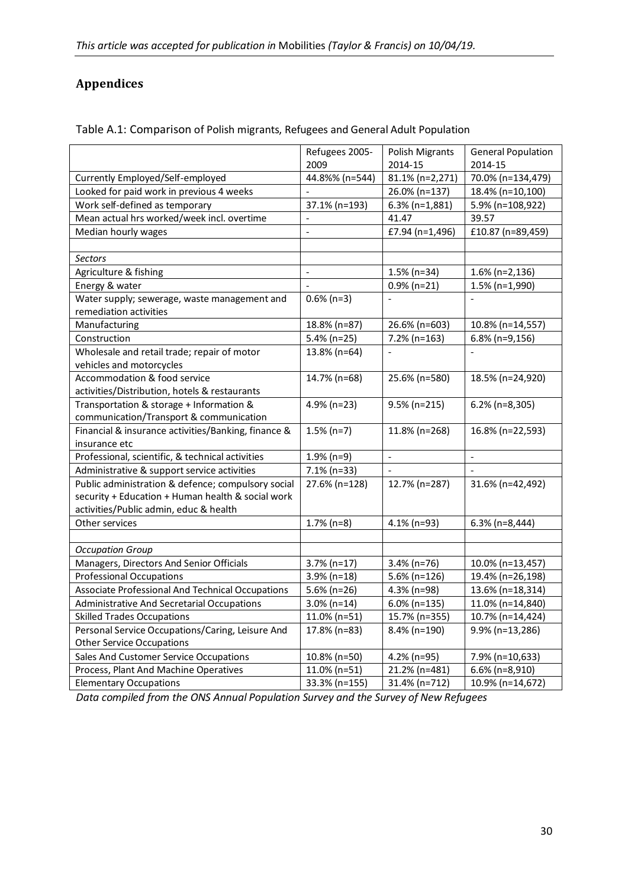# **Appendices**

|                                                     | Refugees 2005-           | Polish Migrants          | <b>General Population</b> |
|-----------------------------------------------------|--------------------------|--------------------------|---------------------------|
|                                                     | 2009                     | 2014-15                  | 2014-15                   |
| Currently Employed/Self-employed                    | 44.8%% (n=544)           | 81.1% (n=2,271)          | 70.0% (n=134,479)         |
| Looked for paid work in previous 4 weeks            | $\overline{a}$           | 26.0% (n=137)            | 18.4% (n=10,100)          |
| Work self-defined as temporary                      | 37.1% (n=193)            | $6.3\%$ (n=1,881)        | 5.9% (n=108,922)          |
| Mean actual hrs worked/week incl. overtime          | $\overline{\phantom{a}}$ | 41.47                    | 39.57                     |
| Median hourly wages                                 | $\frac{1}{2}$            | £7.94 (n=1,496)          | £10.87 (n=89,459)         |
|                                                     |                          |                          |                           |
| Sectors                                             |                          |                          |                           |
| Agriculture & fishing                               | $\blacksquare$           | $1.5\%$ (n=34)           | $1.6\%$ (n=2,136)         |
| Energy & water                                      | $\frac{1}{2}$            | $0.9\%$ (n=21)           | $1.5\%$ (n=1,990)         |
| Water supply; sewerage, waste management and        | $0.6\%$ (n=3)            |                          |                           |
| remediation activities                              |                          |                          |                           |
| Manufacturing                                       | 18.8% (n=87)             | 26.6% (n=603)            | 10.8% (n=14,557)          |
| Construction                                        | 5.4% (n=25)              | 7.2% (n=163)             | 6.8% (n=9,156)            |
| Wholesale and retail trade; repair of motor         | 13.8% (n=64)             |                          | $\frac{1}{2}$             |
| vehicles and motorcycles                            |                          |                          |                           |
| Accommodation & food service                        | 14.7% (n=68)             | 25.6% (n=580)            | 18.5% (n=24,920)          |
| activities/Distribution, hotels & restaurants       |                          |                          |                           |
| Transportation & storage + Information &            | 4.9% (n=23)              | 9.5% (n=215)             | $6.2\%$ (n=8,305)         |
| communication/Transport & communication             |                          |                          |                           |
| Financial & insurance activities/Banking, finance & | $1.5\%$ (n=7)            | 11.8% (n=268)            | 16.8% (n=22,593)          |
| insurance etc                                       |                          |                          |                           |
| Professional, scientific, & technical activities    | $1.9%$ (n=9)             | $\overline{\phantom{a}}$ | $\overline{a}$            |
| Administrative & support service activities         | 7.1% (n=33)              |                          |                           |
| Public administration & defence; compulsory social  | 27.6% (n=128)            | 12.7% (n=287)            | 31.6% (n=42,492)          |
| security + Education + Human health & social work   |                          |                          |                           |
| activities/Public admin, educ & health              |                          |                          |                           |
| Other services                                      | $1.7\%$ (n=8)            | 4.1% (n=93)              | $6.3\%$ (n=8,444)         |
|                                                     |                          |                          |                           |
| <b>Occupation Group</b>                             |                          |                          |                           |
| Managers, Directors And Senior Officials            | $3.7\%$ (n=17)           | $3.4\%$ (n=76)           | 10.0% (n=13,457)          |
| <b>Professional Occupations</b>                     | 3.9% (n=18)              | 5.6% (n=126)             | 19.4% (n=26,198)          |
| Associate Professional And Technical Occupations    | 5.6% (n=26)              | 4.3% (n=98)              | 13.6% (n=18,314)          |
| <b>Administrative And Secretarial Occupations</b>   | $3.0\%$ (n=14)           | 6.0% (n=135)             | 11.0% (n=14,840)          |
| <b>Skilled Trades Occupations</b>                   | 11.0% (n=51)             | 15.7% (n=355)            | 10.7% (n=14,424)          |
| Personal Service Occupations/Caring, Leisure And    | 17.8% (n=83)             | 8.4% (n=190)             | 9.9% (n=13,286)           |
| <b>Other Service Occupations</b>                    |                          |                          |                           |
| Sales And Customer Service Occupations              | 10.8% (n=50)             | 4.2% (n=95)              | 7.9% (n=10,633)           |
| Process, Plant And Machine Operatives               | 11.0% (n=51)             | 21.2% (n=481)            | 6.6% (n=8,910)            |
| <b>Elementary Occupations</b>                       | 33.3% (n=155)            | 31.4% (n=712)            | 10.9% (n=14,672)          |

Table A.1: Comparison of Polish migrants, Refugees and General Adult Population

*Data compiled from the ONS Annual Population Survey and the Survey of New Refugees*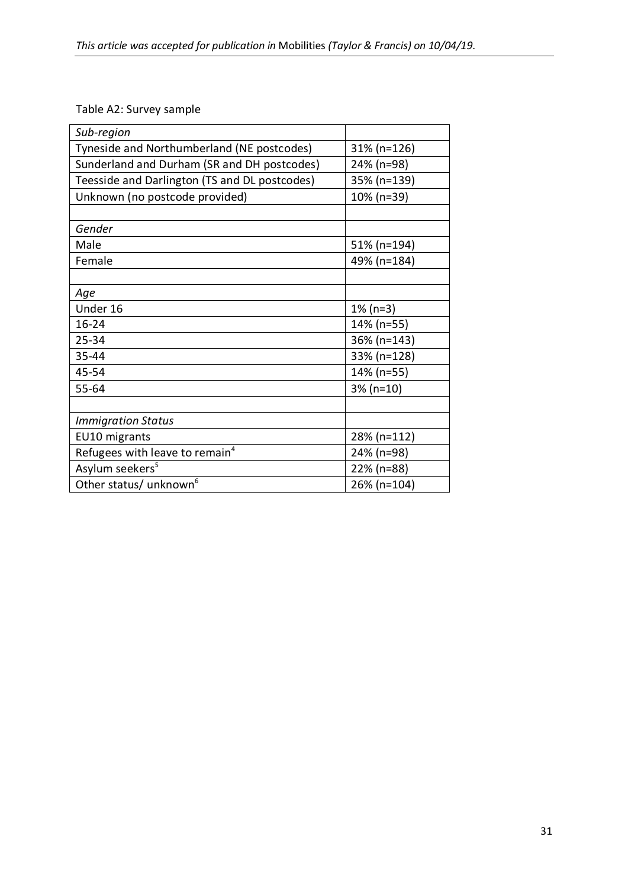## Table A2: Survey sample

| Sub-region                                    |                |
|-----------------------------------------------|----------------|
| Tyneside and Northumberland (NE postcodes)    | $31\%$ (n=126) |
| Sunderland and Durham (SR and DH postcodes)   | 24% (n=98)     |
| Teesside and Darlington (TS and DL postcodes) | 35% (n=139)    |
| Unknown (no postcode provided)                | 10% (n=39)     |
|                                               |                |
| Gender                                        |                |
| Male                                          | 51% (n=194)    |
| Female                                        | 49% (n=184)    |
|                                               |                |
| Age                                           |                |
| Under 16                                      | $1\%$ (n=3)    |
| 16-24                                         | 14% (n=55)     |
| 25-34                                         | 36% (n=143)    |
| 35-44                                         | 33% (n=128)    |
| 45-54                                         | 14% (n=55)     |
| 55-64                                         | $3% (n=10)$    |
|                                               |                |
| <b>Immigration Status</b>                     |                |
| EU10 migrants                                 | 28% (n=112)    |
| Refugees with leave to remain <sup>4</sup>    | 24% (n=98)     |
| Asylum seekers <sup>5</sup>                   | 22% (n=88)     |
| Other status/ unknown <sup>6</sup>            | 26% (n=104)    |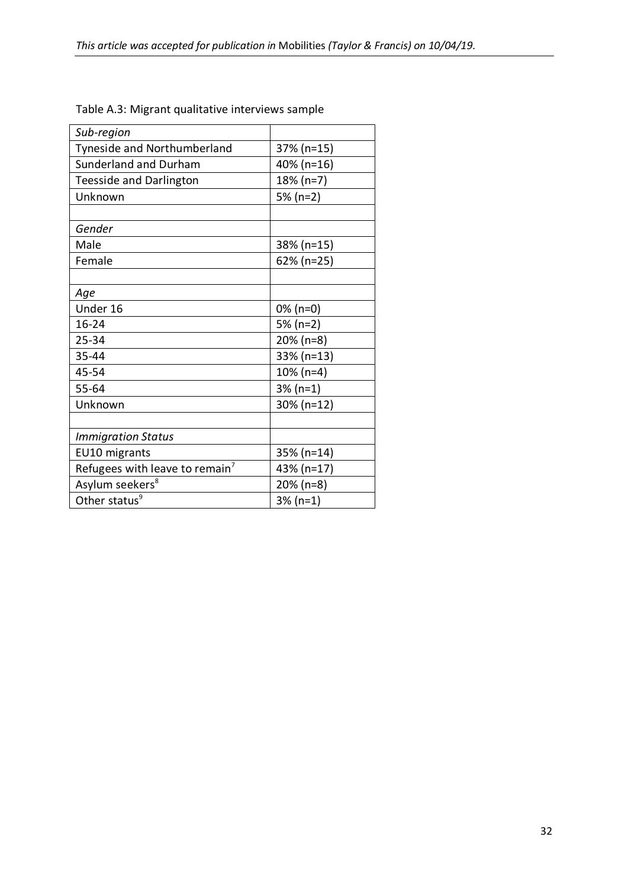| Sub-region                                 |              |  |
|--------------------------------------------|--------------|--|
| Tyneside and Northumberland                | 37% (n=15)   |  |
| Sunderland and Durham                      | 40% (n=16)   |  |
| <b>Teesside and Darlington</b>             | 18% (n=7)    |  |
| Unknown                                    | 5% (n=2)     |  |
|                                            |              |  |
| Gender                                     |              |  |
| Male                                       | 38% (n=15)   |  |
| Female                                     | 62% (n=25)   |  |
|                                            |              |  |
| Age                                        |              |  |
| Under 16                                   | $0\%$ (n=0)  |  |
| $16 - 24$                                  | 5% (n=2)     |  |
| 25-34                                      | 20% (n=8)    |  |
| 35-44                                      | 33% (n=13)   |  |
| 45-54                                      | 10% (n=4)    |  |
| 55-64                                      | $3% (n=1)$   |  |
| Unknown                                    | 30% (n=12)   |  |
|                                            |              |  |
| <b>Immigration Status</b>                  |              |  |
| EU10 migrants                              | 35% (n=14)   |  |
| Refugees with leave to remain <sup>7</sup> | 43% (n=17)   |  |
| Asylum seekers <sup>8</sup>                | $20\%$ (n=8) |  |
| Other status <sup>9</sup>                  | $3% (n=1)$   |  |

## Table A.3: Migrant qualitative interviews sample